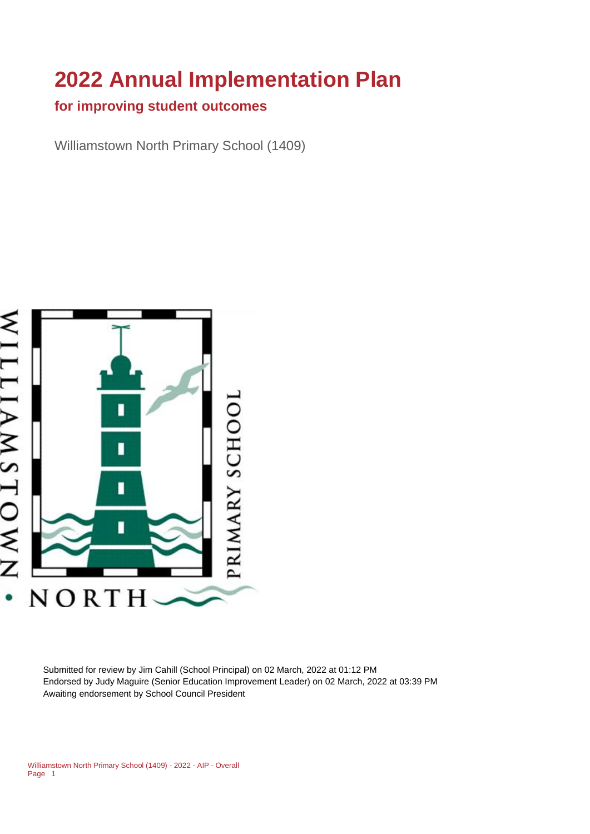# **2022 Annual Implementation Plan**

### **for improving student outcomes**

Williamstown North Primary School (1409)



Submitted for review by Jim Cahill (School Principal) on 02 March, 2022 at 01:12 PM Endorsed by Judy Maguire (Senior Education Improvement Leader) on 02 March, 2022 at 03:39 PM Awaiting endorsement by School Council President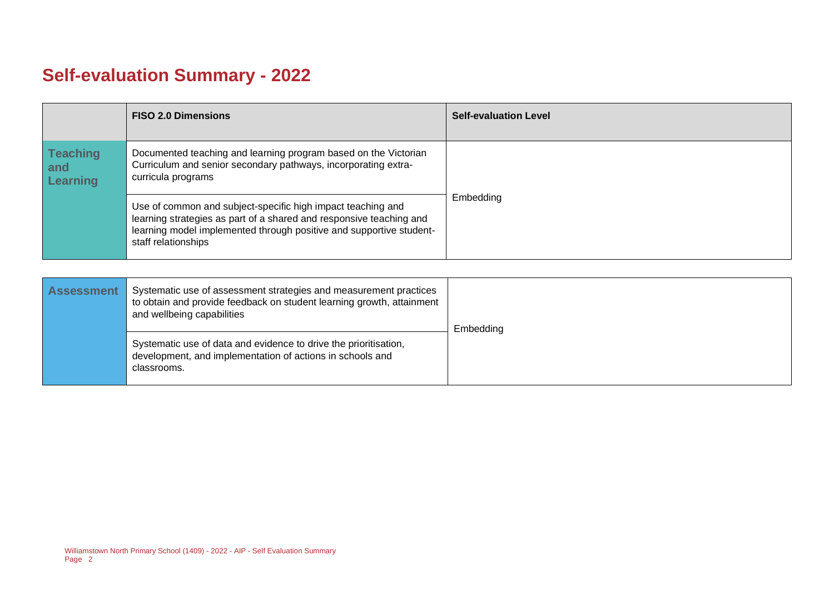## **Self-evaluation Summary - 2022**

|                                    | <b>FISO 2.0 Dimensions</b>                                                                                                                                                                                                       | <b>Self-evaluation Level</b> |
|------------------------------------|----------------------------------------------------------------------------------------------------------------------------------------------------------------------------------------------------------------------------------|------------------------------|
| <b>Teaching</b><br>and<br>Learning | Documented teaching and learning program based on the Victorian<br>Curriculum and senior secondary pathways, incorporating extra-<br>curricula programs                                                                          |                              |
|                                    | Use of common and subject-specific high impact teaching and<br>learning strategies as part of a shared and responsive teaching and<br>learning model implemented through positive and supportive student-<br>staff relationships | Embedding                    |

| <b>Assessment</b> | Systematic use of assessment strategies and measurement practices<br>to obtain and provide feedback on student learning growth, attainment<br>and wellbeing capabilities | Embedding |
|-------------------|--------------------------------------------------------------------------------------------------------------------------------------------------------------------------|-----------|
|                   | Systematic use of data and evidence to drive the prioritisation,<br>development, and implementation of actions in schools and<br>classrooms.                             |           |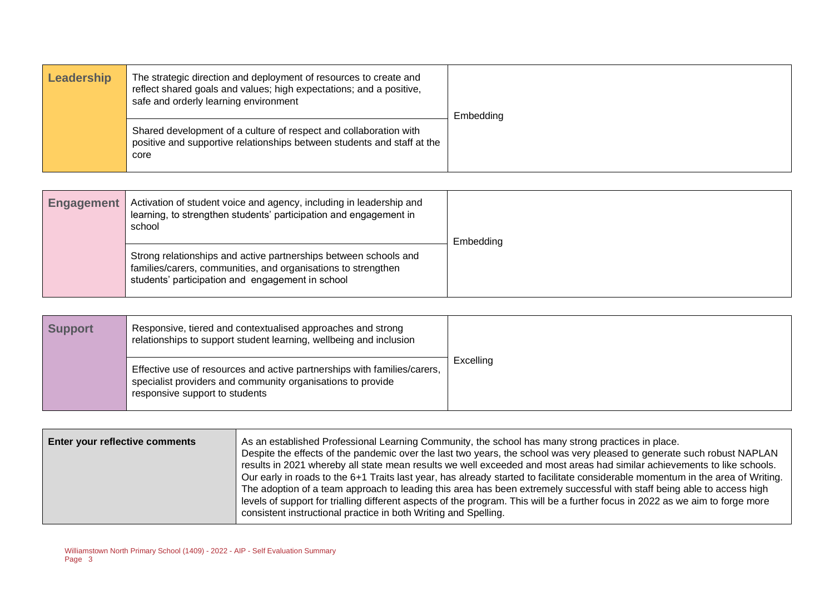| Leadership | The strategic direction and deployment of resources to create and<br>reflect shared goals and values; high expectations; and a positive,<br>safe and orderly learning environment | Embedding |
|------------|-----------------------------------------------------------------------------------------------------------------------------------------------------------------------------------|-----------|
|            | Shared development of a culture of respect and collaboration with<br>positive and supportive relationships between students and staff at the<br>core                              |           |

| <b>Engagement</b> | Activation of student voice and agency, including in leadership and<br>learning, to strengthen students' participation and engagement in<br>school                                    | Embedding |
|-------------------|---------------------------------------------------------------------------------------------------------------------------------------------------------------------------------------|-----------|
|                   | Strong relationships and active partnerships between schools and<br>families/carers, communities, and organisations to strengthen<br>students' participation and engagement in school |           |

| Responsive, tiered and contextualised approaches and strong<br><b>Support</b><br>relationships to support student learning, wellbeing and inclusion |                                                                                                                                                                           |           |
|-----------------------------------------------------------------------------------------------------------------------------------------------------|---------------------------------------------------------------------------------------------------------------------------------------------------------------------------|-----------|
|                                                                                                                                                     | Effective use of resources and active partnerships with families/carers,<br>specialist providers and community organisations to provide<br>responsive support to students | Excelling |

| Enter your reflective comments | As an established Professional Learning Community, the school has many strong practices in place.<br>Despite the effects of the pandemic over the last two years, the school was very pleased to generate such robust NAPLAN<br>results in 2021 whereby all state mean results we well exceeded and most areas had similar achievements to like schools.<br>Our early in roads to the 6+1 Traits last year, has already started to facilitate considerable momentum in the area of Writing.<br>The adoption of a team approach to leading this area has been extremely successful with staff being able to access high<br>levels of support for trialling different aspects of the program. This will be a further focus in 2022 as we aim to forge more |
|--------------------------------|----------------------------------------------------------------------------------------------------------------------------------------------------------------------------------------------------------------------------------------------------------------------------------------------------------------------------------------------------------------------------------------------------------------------------------------------------------------------------------------------------------------------------------------------------------------------------------------------------------------------------------------------------------------------------------------------------------------------------------------------------------|
|                                | consistent instructional practice in both Writing and Spelling.                                                                                                                                                                                                                                                                                                                                                                                                                                                                                                                                                                                                                                                                                          |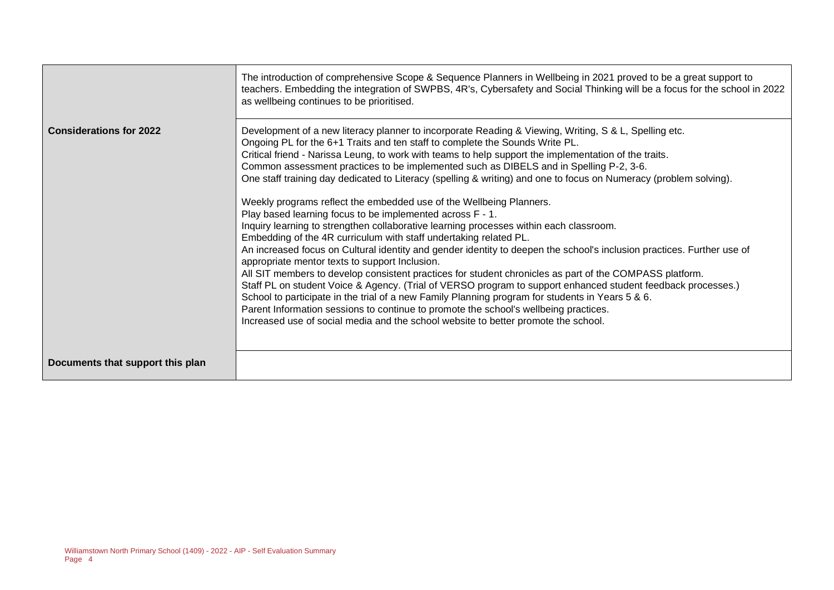|                                  | The introduction of comprehensive Scope & Sequence Planners in Wellbeing in 2021 proved to be a great support to<br>teachers. Embedding the integration of SWPBS, 4R's, Cybersafety and Social Thinking will be a focus for the school in 2022<br>as wellbeing continues to be prioritised.                                                                                                                                                                                                                                                                                                                                                                                                                                                                                                                                                                                                                                                                                                                                                                                                                                                                                                                                                                                                                                                                                                                                                                                                               |
|----------------------------------|-----------------------------------------------------------------------------------------------------------------------------------------------------------------------------------------------------------------------------------------------------------------------------------------------------------------------------------------------------------------------------------------------------------------------------------------------------------------------------------------------------------------------------------------------------------------------------------------------------------------------------------------------------------------------------------------------------------------------------------------------------------------------------------------------------------------------------------------------------------------------------------------------------------------------------------------------------------------------------------------------------------------------------------------------------------------------------------------------------------------------------------------------------------------------------------------------------------------------------------------------------------------------------------------------------------------------------------------------------------------------------------------------------------------------------------------------------------------------------------------------------------|
| <b>Considerations for 2022</b>   | Development of a new literacy planner to incorporate Reading & Viewing, Writing, S & L, Spelling etc.<br>Ongoing PL for the 6+1 Traits and ten staff to complete the Sounds Write PL.<br>Critical friend - Narissa Leung, to work with teams to help support the implementation of the traits.<br>Common assessment practices to be implemented such as DIBELS and in Spelling P-2, 3-6.<br>One staff training day dedicated to Literacy (spelling & writing) and one to focus on Numeracy (problem solving).<br>Weekly programs reflect the embedded use of the Wellbeing Planners.<br>Play based learning focus to be implemented across F - 1.<br>Inquiry learning to strengthen collaborative learning processes within each classroom.<br>Embedding of the 4R curriculum with staff undertaking related PL.<br>An increased focus on Cultural identity and gender identity to deepen the school's inclusion practices. Further use of<br>appropriate mentor texts to support Inclusion.<br>All SIT members to develop consistent practices for student chronicles as part of the COMPASS platform.<br>Staff PL on student Voice & Agency. (Trial of VERSO program to support enhanced student feedback processes.)<br>School to participate in the trial of a new Family Planning program for students in Years 5 & 6.<br>Parent Information sessions to continue to promote the school's wellbeing practices.<br>Increased use of social media and the school website to better promote the school. |
| Documents that support this plan |                                                                                                                                                                                                                                                                                                                                                                                                                                                                                                                                                                                                                                                                                                                                                                                                                                                                                                                                                                                                                                                                                                                                                                                                                                                                                                                                                                                                                                                                                                           |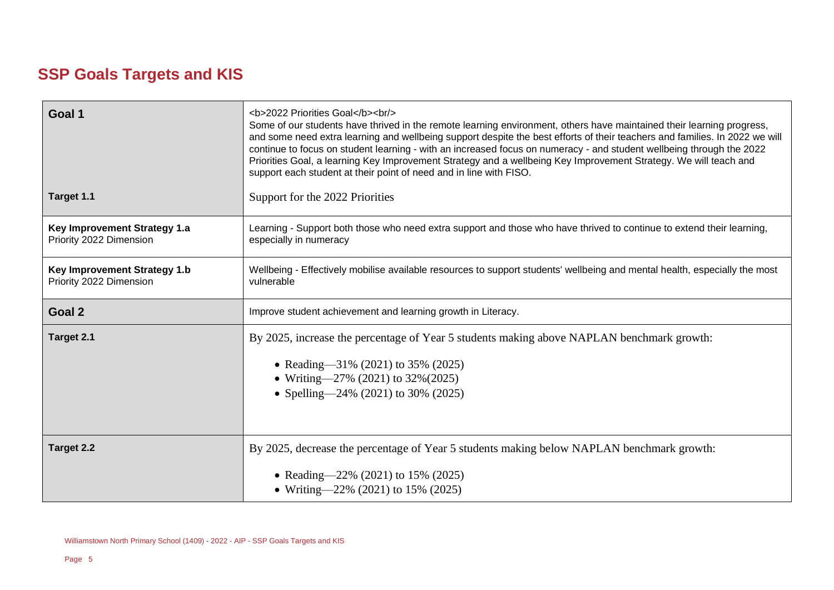## **SSP Goals Targets and KIS**

| Goal 1                                                         | <b>2022 Priorities Goal</b><br><br><br>Some of our students have thrived in the remote learning environment, others have maintained their learning progress,<br>and some need extra learning and wellbeing support despite the best efforts of their teachers and families. In 2022 we will<br>continue to focus on student learning - with an increased focus on numeracy - and student wellbeing through the 2022<br>Priorities Goal, a learning Key Improvement Strategy and a wellbeing Key Improvement Strategy. We will teach and<br>support each student at their point of need and in line with FISO. |
|----------------------------------------------------------------|---------------------------------------------------------------------------------------------------------------------------------------------------------------------------------------------------------------------------------------------------------------------------------------------------------------------------------------------------------------------------------------------------------------------------------------------------------------------------------------------------------------------------------------------------------------------------------------------------------------|
| Target 1.1                                                     | Support for the 2022 Priorities                                                                                                                                                                                                                                                                                                                                                                                                                                                                                                                                                                               |
| <b>Key Improvement Strategy 1.a</b><br>Priority 2022 Dimension | Learning - Support both those who need extra support and those who have thrived to continue to extend their learning,<br>especially in numeracy                                                                                                                                                                                                                                                                                                                                                                                                                                                               |
| Key Improvement Strategy 1.b<br>Priority 2022 Dimension        | Wellbeing - Effectively mobilise available resources to support students' wellbeing and mental health, especially the most<br>vulnerable                                                                                                                                                                                                                                                                                                                                                                                                                                                                      |
| Goal 2                                                         | Improve student achievement and learning growth in Literacy.                                                                                                                                                                                                                                                                                                                                                                                                                                                                                                                                                  |
| Target 2.1                                                     | By 2025, increase the percentage of Year 5 students making above NAPLAN benchmark growth:<br>• Reading—31% (2021) to 35% (2025)<br>• Writing—27% (2021) to $32\%(2025)$<br>• Spelling—24% (2021) to 30% (2025)                                                                                                                                                                                                                                                                                                                                                                                                |
| Target 2.2                                                     | By 2025, decrease the percentage of Year 5 students making below NAPLAN benchmark growth:                                                                                                                                                                                                                                                                                                                                                                                                                                                                                                                     |
|                                                                | • Reading—22% (2021) to 15% (2025)<br>• Writing—22% (2021) to 15% (2025)                                                                                                                                                                                                                                                                                                                                                                                                                                                                                                                                      |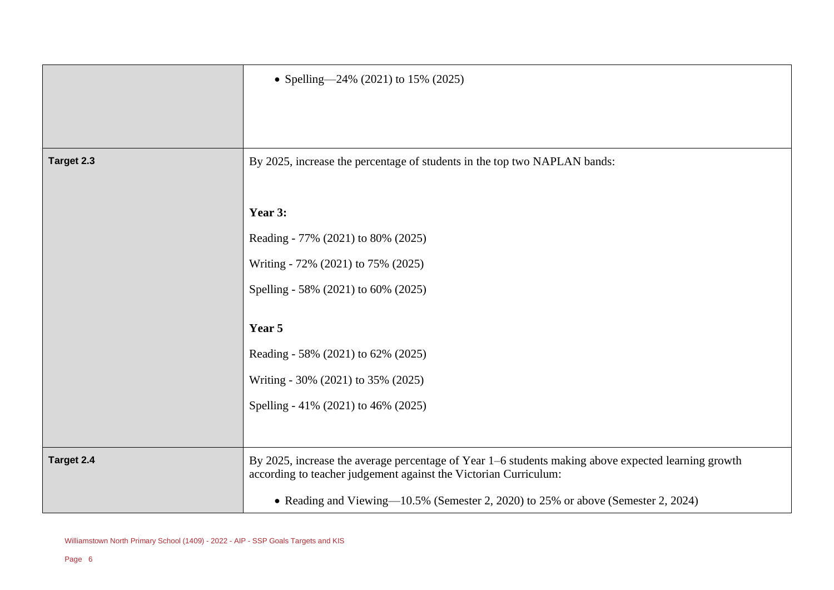|            | • Spelling—24% (2021) to 15% (2025)                                                                                                                                     |
|------------|-------------------------------------------------------------------------------------------------------------------------------------------------------------------------|
|            |                                                                                                                                                                         |
|            |                                                                                                                                                                         |
| Target 2.3 | By 2025, increase the percentage of students in the top two NAPLAN bands:                                                                                               |
|            |                                                                                                                                                                         |
|            | Year 3:                                                                                                                                                                 |
|            | Reading - 77% (2021) to 80% (2025)                                                                                                                                      |
|            | Writing - 72% (2021) to 75% (2025)                                                                                                                                      |
|            | Spelling - 58% (2021) to 60% (2025)                                                                                                                                     |
|            | Year 5                                                                                                                                                                  |
|            | Reading - 58% (2021) to 62% (2025)                                                                                                                                      |
|            | Writing - 30% (2021) to 35% (2025)                                                                                                                                      |
|            | Spelling - 41% (2021) to 46% (2025)                                                                                                                                     |
|            |                                                                                                                                                                         |
| Target 2.4 | By 2025, increase the average percentage of Year 1–6 students making above expected learning growth<br>according to teacher judgement against the Victorian Curriculum: |
|            | • Reading and Viewing-10.5% (Semester 2, 2020) to 25% or above (Semester 2, 2024)                                                                                       |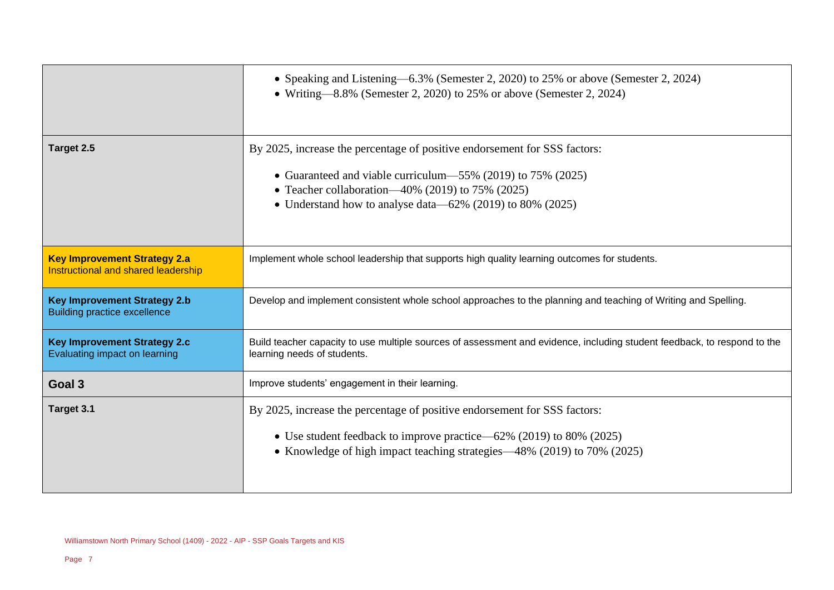|                                                                            | • Speaking and Listening—6.3% (Semester 2, 2020) to 25% or above (Semester 2, 2024)<br>• Writing—8.8% (Semester 2, 2020) to 25% or above (Semester 2, 2024)                                                                                                       |
|----------------------------------------------------------------------------|-------------------------------------------------------------------------------------------------------------------------------------------------------------------------------------------------------------------------------------------------------------------|
| Target 2.5                                                                 | By 2025, increase the percentage of positive endorsement for SSS factors:<br>• Guaranteed and viable curriculum— $55\%$ (2019) to 75% (2025)<br>• Teacher collaboration—40% (2019) to 75% (2025)<br>• Understand how to analyse data— $62\%$ (2019) to 80% (2025) |
| <b>Key Improvement Strategy 2.a</b><br>Instructional and shared leadership | Implement whole school leadership that supports high quality learning outcomes for students.                                                                                                                                                                      |
| <b>Key Improvement Strategy 2.b</b><br><b>Building practice excellence</b> | Develop and implement consistent whole school approaches to the planning and teaching of Writing and Spelling.                                                                                                                                                    |
| <b>Key Improvement Strategy 2.c</b><br>Evaluating impact on learning       | Build teacher capacity to use multiple sources of assessment and evidence, including student feedback, to respond to the<br>learning needs of students.                                                                                                           |
| Goal 3                                                                     | Improve students' engagement in their learning.                                                                                                                                                                                                                   |
| Target 3.1                                                                 | By 2025, increase the percentage of positive endorsement for SSS factors:<br>• Use student feedback to improve practice— $62\%$ (2019) to 80% (2025)<br>• Knowledge of high impact teaching strategies—48% (2019) to 70% (2025)                                   |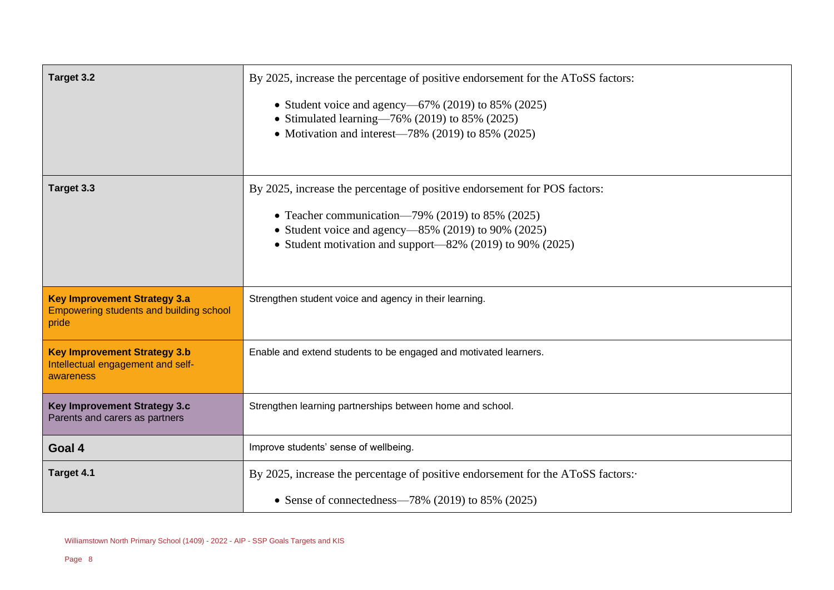| Target 3.2                                                                              | By 2025, increase the percentage of positive endorsement for the AToSS factors:                                                                                          |
|-----------------------------------------------------------------------------------------|--------------------------------------------------------------------------------------------------------------------------------------------------------------------------|
|                                                                                         | • Student voice and agency— $67\%$ (2019) to 85% (2025)<br>• Stimulated learning—76% (2019) to 85% (2025)<br>• Motivation and interest—78% (2019) to 85% (2025)          |
| Target 3.3                                                                              | By 2025, increase the percentage of positive endorsement for POS factors:                                                                                                |
|                                                                                         | • Teacher communication—79% (2019) to 85% (2025)<br>• Student voice and agency— $85\%$ (2019) to 90% (2025)<br>• Student motivation and support—82% (2019) to 90% (2025) |
| <b>Key Improvement Strategy 3.a</b><br>Empowering students and building school<br>pride | Strengthen student voice and agency in their learning.                                                                                                                   |
| <b>Key Improvement Strategy 3.b</b><br>Intellectual engagement and self-<br>awareness   | Enable and extend students to be engaged and motivated learners.                                                                                                         |
| <b>Key Improvement Strategy 3.c</b><br>Parents and carers as partners                   | Strengthen learning partnerships between home and school.                                                                                                                |
| Goal 4                                                                                  | Improve students' sense of wellbeing.                                                                                                                                    |
| Target 4.1                                                                              | By 2025, increase the percentage of positive endorsement for the AToSS factors:                                                                                          |
|                                                                                         | • Sense of connectedness— $78\%$ (2019) to 85% (2025)                                                                                                                    |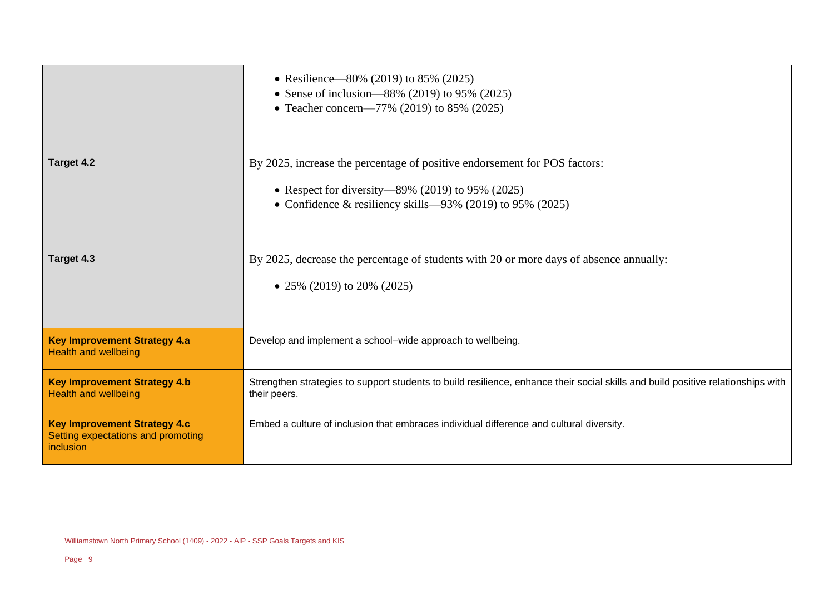|                                                                                        | • Resilience—80% (2019) to 85% (2025)<br>• Sense of inclusion—88% (2019) to 95% (2025)<br>• Teacher concern—77% (2019) to 85% (2025)                                                          |
|----------------------------------------------------------------------------------------|-----------------------------------------------------------------------------------------------------------------------------------------------------------------------------------------------|
| Target 4.2                                                                             | By 2025, increase the percentage of positive endorsement for POS factors:<br>• Respect for diversity—89% (2019) to 95% (2025)<br>• Confidence & resiliency skills—93% (2019) to $95\%$ (2025) |
| Target 4.3                                                                             | By 2025, decrease the percentage of students with 20 or more days of absence annually:<br>• 25% (2019) to 20% (2025)                                                                          |
| <b>Key Improvement Strategy 4.a</b><br><b>Health and wellbeing</b>                     | Develop and implement a school-wide approach to wellbeing.                                                                                                                                    |
| <b>Key Improvement Strategy 4.b</b><br><b>Health and wellbeing</b>                     | Strengthen strategies to support students to build resilience, enhance their social skills and build positive relationships with<br>their peers.                                              |
| <b>Key Improvement Strategy 4.c</b><br>Setting expectations and promoting<br>inclusion | Embed a culture of inclusion that embraces individual difference and cultural diversity.                                                                                                      |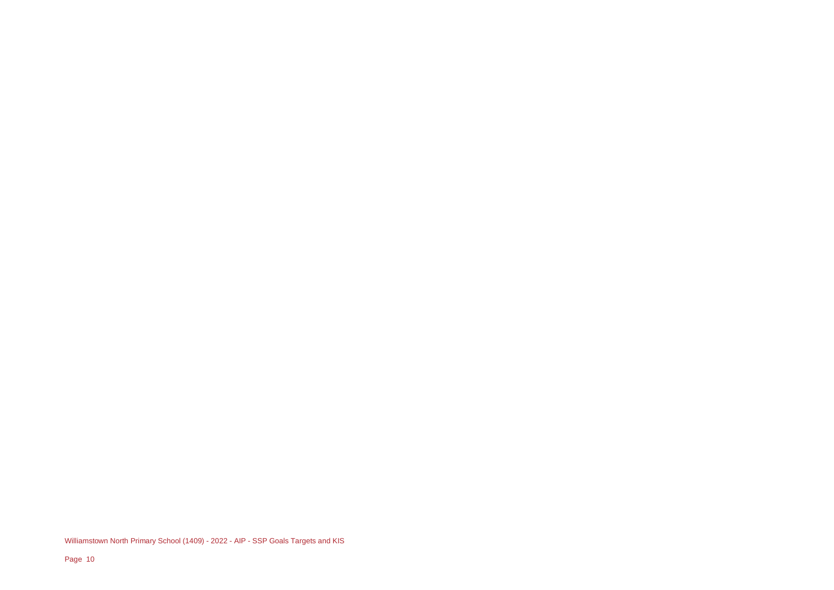Williamstown North Primary School (1409) - 2022 - AIP - SSP Goals Targets and KIS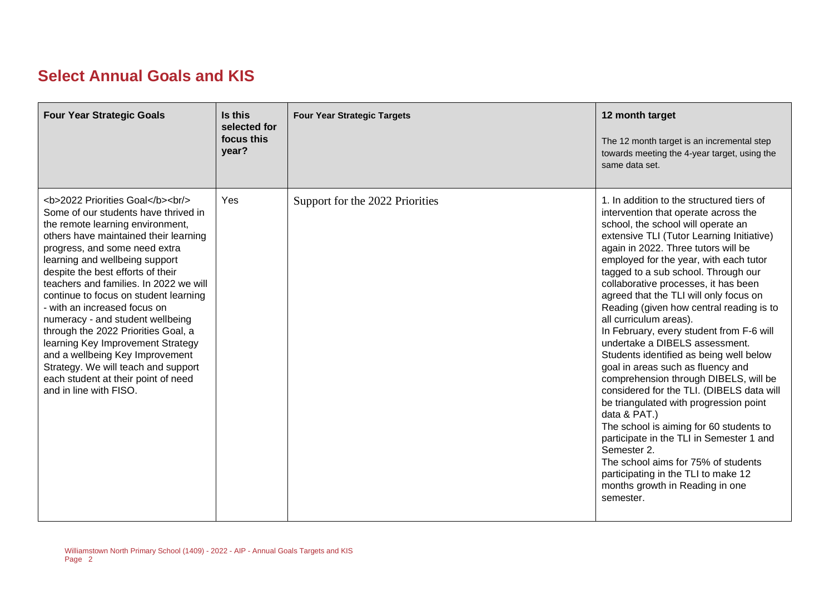## **Select Annual Goals and KIS**

| <b>Four Year Strategic Goals</b>                                                                                                                                                              | Is this<br>selected for<br>focus this<br>year? | <b>Four Year Strategic Targets</b> | 12 month target<br>The 12 month target is an incremental step<br>towards meeting the 4-year target, using the<br>same data set.                                                                                                                                                                                                                                                                                                                                                                                                                                                                                                                                                                                                                                                                                                                                                                                                                                                                        |
|-----------------------------------------------------------------------------------------------------------------------------------------------------------------------------------------------|------------------------------------------------|------------------------------------|--------------------------------------------------------------------------------------------------------------------------------------------------------------------------------------------------------------------------------------------------------------------------------------------------------------------------------------------------------------------------------------------------------------------------------------------------------------------------------------------------------------------------------------------------------------------------------------------------------------------------------------------------------------------------------------------------------------------------------------------------------------------------------------------------------------------------------------------------------------------------------------------------------------------------------------------------------------------------------------------------------|
| <b>2022 Priorities Goal</b><br><br><br>Some of our students have thrived in<br>the remote learning environment,<br>others have maintained their learning<br>progress, and some need extra<br> | Yes                                            | Support for the 2022 Priorities    | 1. In addition to the structured tiers of<br>intervention that operate across the<br>school, the school will operate an<br>extensive TLI (Tutor Learning Initiative)<br>again in 2022. Three tutors will be<br>employed for the year, with each tutor<br>tagged to a sub school. Through our<br>collaborative processes, it has been<br>agreed that the TLI will only focus on<br>Reading (given how central reading is to<br>all curriculum areas).<br>In February, every student from F-6 will<br>undertake a DIBELS assessment.<br>Students identified as being well below<br>goal in areas such as fluency and<br>comprehension through DIBELS, will be<br>considered for the TLI. (DIBELS data will<br>be triangulated with progression point<br>data & PAT.)<br>The school is aiming for 60 students to<br>participate in the TLI in Semester 1 and<br>Semester 2.<br>The school aims for 75% of students<br>participating in the TLI to make 12<br>months growth in Reading in one<br>semester. |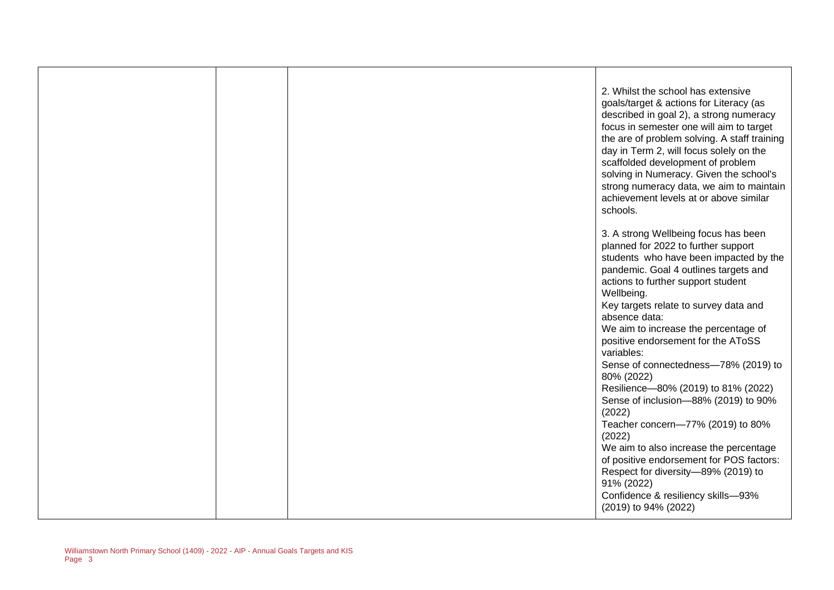|  | 2. Whilst the school has extensive<br>goals/target & actions for Literacy (as<br>described in goal 2), a strong numeracy<br>focus in semester one will aim to target<br>the are of problem solving. A staff training<br>day in Term 2, will focus solely on the<br>scaffolded development of problem<br>solving in Numeracy. Given the school's<br>strong numeracy data, we aim to maintain<br>achievement levels at or above similar<br>schools. |
|--|---------------------------------------------------------------------------------------------------------------------------------------------------------------------------------------------------------------------------------------------------------------------------------------------------------------------------------------------------------------------------------------------------------------------------------------------------|
|  | 3. A strong Wellbeing focus has been<br>planned for 2022 to further support<br>students who have been impacted by the<br>pandemic. Goal 4 outlines targets and<br>actions to further support student<br>Wellbeing.<br>Key targets relate to survey data and<br>absence data:<br>We aim to increase the percentage of<br>positive endorsement for the AToSS<br>variables:<br>Sense of connectedness-78% (2019) to<br>80% (2022)                    |
|  | Resilience-80% (2019) to 81% (2022)<br>Sense of inclusion-88% (2019) to 90%<br>(2022)<br>Teacher concern-77% (2019) to 80%<br>(2022)<br>We aim to also increase the percentage<br>of positive endorsement for POS factors:<br>Respect for diversity-89% (2019) to<br>91% (2022)<br>Confidence & resiliency skills-93%<br>(2019) to 94% (2022)                                                                                                     |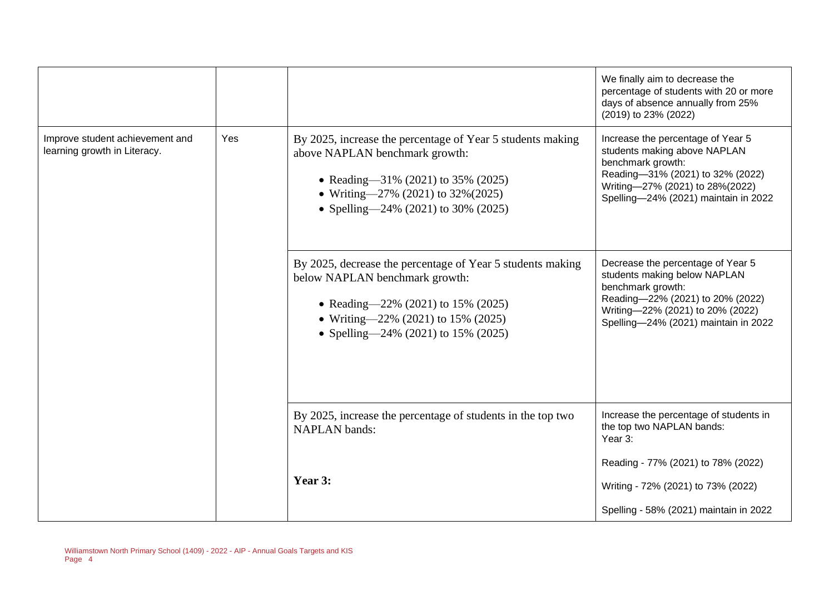|                                                                 |     |                                                                                                                                                                                                                       | We finally aim to decrease the<br>percentage of students with 20 or more<br>days of absence annually from 25%<br>(2019) to 23% (2022)                                                                  |
|-----------------------------------------------------------------|-----|-----------------------------------------------------------------------------------------------------------------------------------------------------------------------------------------------------------------------|--------------------------------------------------------------------------------------------------------------------------------------------------------------------------------------------------------|
| Improve student achievement and<br>learning growth in Literacy. | Yes | By 2025, increase the percentage of Year 5 students making<br>above NAPLAN benchmark growth:<br>• Reading $-31\%$ (2021) to 35% (2025)<br>• Writing—27% (2021) to $32\%(2025)$<br>• Spelling—24% (2021) to 30% (2025) | Increase the percentage of Year 5<br>students making above NAPLAN<br>benchmark growth:<br>Reading-31% (2021) to 32% (2022)<br>Writing-27% (2021) to 28%(2022)<br>Spelling-24% (2021) maintain in 2022  |
|                                                                 |     | By 2025, decrease the percentage of Year 5 students making<br>below NAPLAN benchmark growth:<br>• Reading—22% (2021) to 15% (2025)<br>• Writing—22% (2021) to 15% (2025)<br>• Spelling—24% (2021) to 15% (2025)       | Decrease the percentage of Year 5<br>students making below NAPLAN<br>benchmark growth:<br>Reading-22% (2021) to 20% (2022)<br>Writing-22% (2021) to 20% (2022)<br>Spelling-24% (2021) maintain in 2022 |
|                                                                 |     | By 2025, increase the percentage of students in the top two<br><b>NAPLAN</b> bands:                                                                                                                                   | Increase the percentage of students in<br>the top two NAPLAN bands:<br>Year 3:                                                                                                                         |
|                                                                 |     |                                                                                                                                                                                                                       | Reading - 77% (2021) to 78% (2022)                                                                                                                                                                     |
|                                                                 |     | Year 3:                                                                                                                                                                                                               | Writing - 72% (2021) to 73% (2022)                                                                                                                                                                     |
|                                                                 |     |                                                                                                                                                                                                                       | Spelling - 58% (2021) maintain in 2022                                                                                                                                                                 |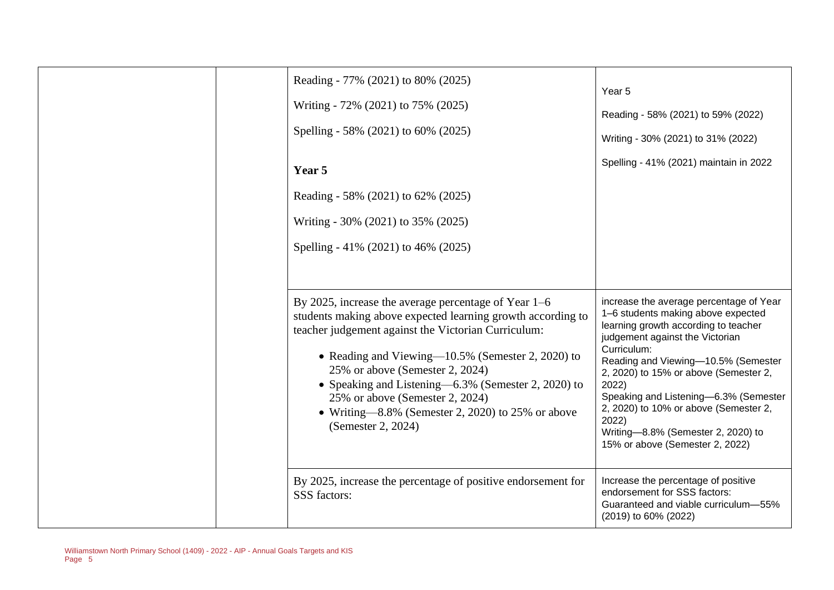| Reading - 77% (2021) to 80% (2025)<br>Writing - 72% (2021) to 75% (2025)<br>Spelling - 58% (2021) to 60% (2025)                                                                                                                                                                                                                                                                                                                               | Year 5<br>Reading - 58% (2021) to 59% (2022)<br>Writing - 30% (2021) to 31% (2022)                                                                                                                                                                                                                                                                                                                                                   |
|-----------------------------------------------------------------------------------------------------------------------------------------------------------------------------------------------------------------------------------------------------------------------------------------------------------------------------------------------------------------------------------------------------------------------------------------------|--------------------------------------------------------------------------------------------------------------------------------------------------------------------------------------------------------------------------------------------------------------------------------------------------------------------------------------------------------------------------------------------------------------------------------------|
| Year 5<br>Reading - 58% (2021) to 62% (2025)<br>Writing - 30% (2021) to 35% (2025)<br>Spelling - 41% (2021) to 46% (2025)                                                                                                                                                                                                                                                                                                                     | Spelling - 41% (2021) maintain in 2022                                                                                                                                                                                                                                                                                                                                                                                               |
| By 2025, increase the average percentage of Year $1-6$<br>students making above expected learning growth according to<br>teacher judgement against the Victorian Curriculum:<br>• Reading and Viewing—10.5% (Semester 2, 2020) to<br>25% or above (Semester 2, 2024)<br>• Speaking and Listening—6.3% (Semester 2, 2020) to<br>25% or above (Semester 2, 2024)<br>• Writing— $8.8\%$ (Semester 2, 2020) to 25% or above<br>(Semester 2, 2024) | increase the average percentage of Year<br>1-6 students making above expected<br>learning growth according to teacher<br>judgement against the Victorian<br>Curriculum:<br>Reading and Viewing-10.5% (Semester<br>2, 2020) to 15% or above (Semester 2,<br>2022)<br>Speaking and Listening-6.3% (Semester<br>2, 2020) to 10% or above (Semester 2,<br>2022)<br>Writing-8.8% (Semester 2, 2020) to<br>15% or above (Semester 2, 2022) |
| By 2025, increase the percentage of positive endorsement for<br>SSS factors:                                                                                                                                                                                                                                                                                                                                                                  | Increase the percentage of positive<br>endorsement for SSS factors:<br>Guaranteed and viable curriculum-55%<br>(2019) to 60% (2022)                                                                                                                                                                                                                                                                                                  |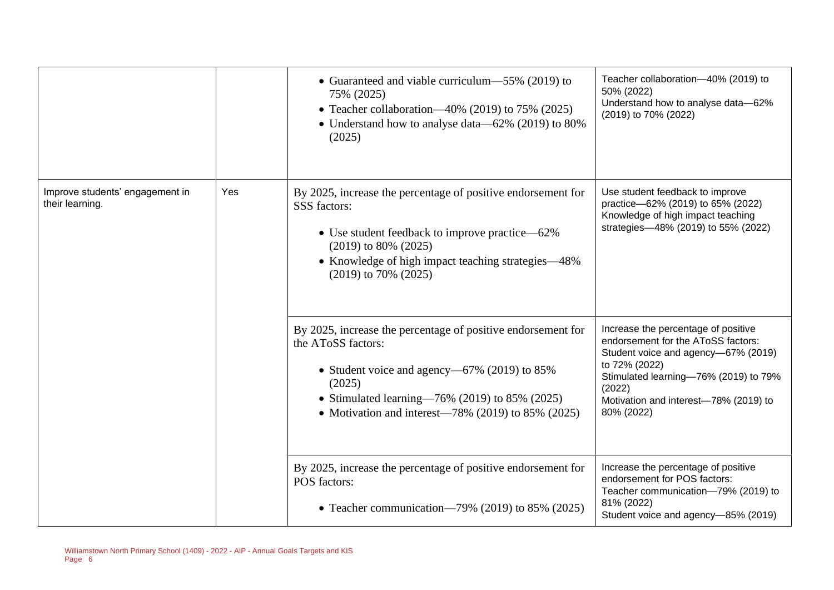|                                                    |     | • Guaranteed and viable curriculum— $55\%$ (2019) to<br>75% (2025)<br>• Teacher collaboration—40% (2019) to 75% (2025)<br>• Understand how to analyse data—62% (2019) to 80%<br>(2025)                                                               | Teacher collaboration-40% (2019) to<br>50% (2022)<br>Understand how to analyse data-62%<br>(2019) to 70% (2022)                                                                                                                             |
|----------------------------------------------------|-----|------------------------------------------------------------------------------------------------------------------------------------------------------------------------------------------------------------------------------------------------------|---------------------------------------------------------------------------------------------------------------------------------------------------------------------------------------------------------------------------------------------|
| Improve students' engagement in<br>their learning. | Yes | By 2025, increase the percentage of positive endorsement for<br>SSS factors:<br>• Use student feedback to improve practice—62%<br>$(2019)$ to 80% $(2025)$<br>• Knowledge of high impact teaching strategies—48%<br>$(2019)$ to 70% $(2025)$         | Use student feedback to improve<br>practice-62% (2019) to 65% (2022)<br>Knowledge of high impact teaching<br>strategies-48% (2019) to 55% (2022)                                                                                            |
|                                                    |     | By 2025, increase the percentage of positive endorsement for<br>the AToSS factors:<br>• Student voice and agency—67% (2019) to 85%<br>(2025)<br>• Stimulated learning—76% (2019) to 85% (2025)<br>• Motivation and interest—78% (2019) to 85% (2025) | Increase the percentage of positive<br>endorsement for the AToSS factors:<br>Student voice and agency-67% (2019)<br>to 72% (2022)<br>Stimulated learning-76% (2019) to 79%<br>(2022)<br>Motivation and interest-78% (2019) to<br>80% (2022) |
|                                                    |     | By 2025, increase the percentage of positive endorsement for<br>POS factors:<br>• Teacher communication—79% (2019) to 85% (2025)                                                                                                                     | Increase the percentage of positive<br>endorsement for POS factors:<br>Teacher communication-79% (2019) to<br>81% (2022)<br>Student voice and agency-85% (2019)                                                                             |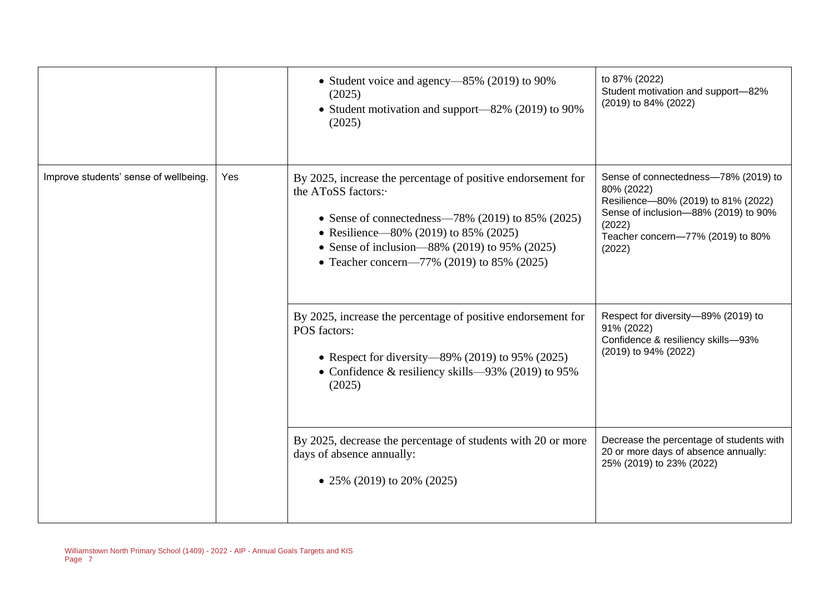|                                       |     | • Student voice and agency—85% (2019) to 90%<br>(2025)<br>• Student motivation and support—82% (2019) to 90%<br>(2025)                                                                                                                                                              | to 87% (2022)<br>Student motivation and support-82%<br>(2019) to 84% (2022)                                                                                                                |
|---------------------------------------|-----|-------------------------------------------------------------------------------------------------------------------------------------------------------------------------------------------------------------------------------------------------------------------------------------|--------------------------------------------------------------------------------------------------------------------------------------------------------------------------------------------|
| Improve students' sense of wellbeing. | Yes | By 2025, increase the percentage of positive endorsement for<br>the AToSS factors:<br>• Sense of connectedness— $78\%$ (2019) to 85% (2025)<br>• Resilience—80% (2019) to 85% (2025)<br>• Sense of inclusion—88% (2019) to 95% (2025)<br>• Teacher concern—77% (2019) to 85% (2025) | Sense of connectedness-78% (2019) to<br>80% (2022)<br>Resilience-80% (2019) to 81% (2022)<br>Sense of inclusion-88% (2019) to 90%<br>(2022)<br>Teacher concern-77% (2019) to 80%<br>(2022) |
|                                       |     | By 2025, increase the percentage of positive endorsement for<br>POS factors:<br>• Respect for diversity—89% (2019) to 95% (2025)<br>• Confidence & resiliency skills—93% (2019) to 95%<br>(2025)                                                                                    | Respect for diversity-89% (2019) to<br>91% (2022)<br>Confidence & resiliency skills-93%<br>(2019) to 94% (2022)                                                                            |
|                                       |     | By 2025, decrease the percentage of students with 20 or more<br>days of absence annually:<br>• 25% (2019) to 20% (2025)                                                                                                                                                             | Decrease the percentage of students with<br>20 or more days of absence annually:<br>25% (2019) to 23% (2022)                                                                               |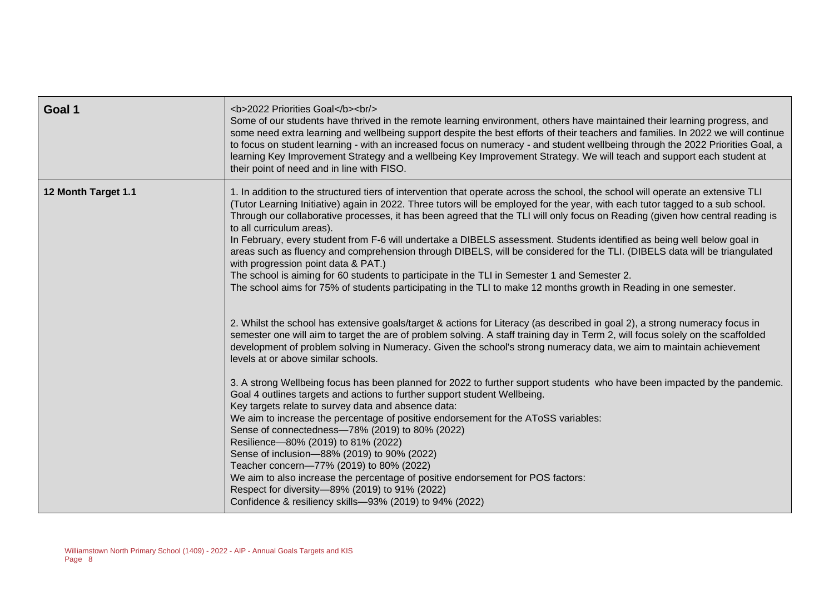| Goal 1              | <b>2022 Priorities Goal</b><br><br><br>Some of our students have thrived in the remote learning environment, others have maintained their learning progress, and<br>some need extra learning and wellbeing support despite the best efforts of their teachers and families. In 2022 we will continue<br>to focus on student learning - with an increased focus on numeracy - and student wellbeing through the 2022 Priorities Goal, a<br>learning Key Improvement Strategy and a wellbeing Key Improvement Strategy. We will teach and support each student at<br>their point of need and in line with FISO.                                                                                                                                                                                                                                                                                                                                                                                                                                                                                                                                                                                                                                                                                                                                                                                                                                                                                                                                                                                                                                                                                                                                                                                                                                                                                                                                                                                                                                                                                                                   |
|---------------------|---------------------------------------------------------------------------------------------------------------------------------------------------------------------------------------------------------------------------------------------------------------------------------------------------------------------------------------------------------------------------------------------------------------------------------------------------------------------------------------------------------------------------------------------------------------------------------------------------------------------------------------------------------------------------------------------------------------------------------------------------------------------------------------------------------------------------------------------------------------------------------------------------------------------------------------------------------------------------------------------------------------------------------------------------------------------------------------------------------------------------------------------------------------------------------------------------------------------------------------------------------------------------------------------------------------------------------------------------------------------------------------------------------------------------------------------------------------------------------------------------------------------------------------------------------------------------------------------------------------------------------------------------------------------------------------------------------------------------------------------------------------------------------------------------------------------------------------------------------------------------------------------------------------------------------------------------------------------------------------------------------------------------------------------------------------------------------------------------------------------------------|
| 12 Month Target 1.1 | 1. In addition to the structured tiers of intervention that operate across the school, the school will operate an extensive TLI<br>(Tutor Learning Initiative) again in 2022. Three tutors will be employed for the year, with each tutor tagged to a sub school.<br>Through our collaborative processes, it has been agreed that the TLI will only focus on Reading (given how central reading is<br>to all curriculum areas).<br>In February, every student from F-6 will undertake a DIBELS assessment. Students identified as being well below goal in<br>areas such as fluency and comprehension through DIBELS, will be considered for the TLI. (DIBELS data will be triangulated<br>with progression point data & PAT.)<br>The school is aiming for 60 students to participate in the TLI in Semester 1 and Semester 2.<br>The school aims for 75% of students participating in the TLI to make 12 months growth in Reading in one semester.<br>2. Whilst the school has extensive goals/target & actions for Literacy (as described in goal 2), a strong numeracy focus in<br>semester one will aim to target the are of problem solving. A staff training day in Term 2, will focus solely on the scaffolded<br>development of problem solving in Numeracy. Given the school's strong numeracy data, we aim to maintain achievement<br>levels at or above similar schools.<br>3. A strong Wellbeing focus has been planned for 2022 to further support students who have been impacted by the pandemic.<br>Goal 4 outlines targets and actions to further support student Wellbeing.<br>Key targets relate to survey data and absence data:<br>We aim to increase the percentage of positive endorsement for the AToSS variables:<br>Sense of connectedness-78% (2019) to 80% (2022)<br>Resilience-80% (2019) to 81% (2022)<br>Sense of inclusion-88% (2019) to 90% (2022)<br>Teacher concern-77% (2019) to 80% (2022)<br>We aim to also increase the percentage of positive endorsement for POS factors:<br>Respect for diversity-89% (2019) to 91% (2022)<br>Confidence & resiliency skills-93% (2019) to 94% (2022) |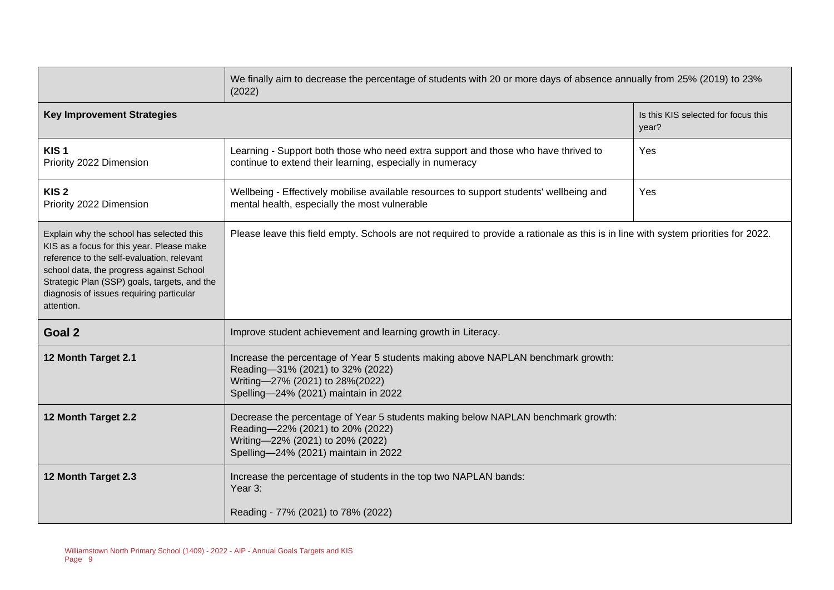|                                                                                                                                                                                                                                                                                           | We finally aim to decrease the percentage of students with 20 or more days of absence annually from 25% (2019) to 23%<br>(2022)                                                                  |                                              |  |
|-------------------------------------------------------------------------------------------------------------------------------------------------------------------------------------------------------------------------------------------------------------------------------------------|--------------------------------------------------------------------------------------------------------------------------------------------------------------------------------------------------|----------------------------------------------|--|
| <b>Key Improvement Strategies</b>                                                                                                                                                                                                                                                         |                                                                                                                                                                                                  | Is this KIS selected for focus this<br>year? |  |
| KIS <sub>1</sub><br>Priority 2022 Dimension                                                                                                                                                                                                                                               | Learning - Support both those who need extra support and those who have thrived to<br>continue to extend their learning, especially in numeracy                                                  | Yes                                          |  |
| KIS <sub>2</sub><br>Priority 2022 Dimension                                                                                                                                                                                                                                               | Wellbeing - Effectively mobilise available resources to support students' wellbeing and<br>mental health, especially the most vulnerable                                                         | Yes                                          |  |
| Explain why the school has selected this<br>KIS as a focus for this year. Please make<br>reference to the self-evaluation, relevant<br>school data, the progress against School<br>Strategic Plan (SSP) goals, targets, and the<br>diagnosis of issues requiring particular<br>attention. | Please leave this field empty. Schools are not required to provide a rationale as this is in line with system priorities for 2022.                                                               |                                              |  |
| Goal 2                                                                                                                                                                                                                                                                                    | Improve student achievement and learning growth in Literacy.                                                                                                                                     |                                              |  |
| 12 Month Target 2.1                                                                                                                                                                                                                                                                       | Increase the percentage of Year 5 students making above NAPLAN benchmark growth:<br>Reading-31% (2021) to 32% (2022)<br>Writing-27% (2021) to 28%(2022)<br>Spelling-24% (2021) maintain in 2022  |                                              |  |
| 12 Month Target 2.2                                                                                                                                                                                                                                                                       | Decrease the percentage of Year 5 students making below NAPLAN benchmark growth:<br>Reading-22% (2021) to 20% (2022)<br>Writing-22% (2021) to 20% (2022)<br>Spelling-24% (2021) maintain in 2022 |                                              |  |
| 12 Month Target 2.3                                                                                                                                                                                                                                                                       | Increase the percentage of students in the top two NAPLAN bands:<br>Year 3:<br>Reading - 77% (2021) to 78% (2022)                                                                                |                                              |  |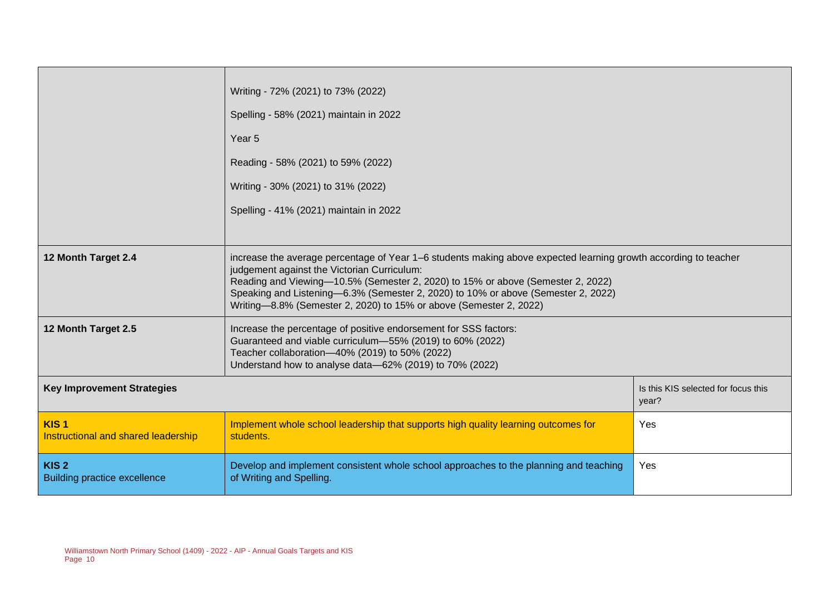|                                                         | Writing - 72% (2021) to 73% (2022)<br>Spelling - 58% (2021) maintain in 2022<br>Year <sub>5</sub><br>Reading - 58% (2021) to 59% (2022)<br>Writing - 30% (2021) to 31% (2022)<br>Spelling - 41% (2021) maintain in 2022                                                                                                                                                                                      |                                              |
|---------------------------------------------------------|--------------------------------------------------------------------------------------------------------------------------------------------------------------------------------------------------------------------------------------------------------------------------------------------------------------------------------------------------------------------------------------------------------------|----------------------------------------------|
| 12 Month Target 2.4                                     | increase the average percentage of Year 1–6 students making above expected learning growth according to teacher<br>judgement against the Victorian Curriculum:<br>Reading and Viewing-10.5% (Semester 2, 2020) to 15% or above (Semester 2, 2022)<br>Speaking and Listening-6.3% (Semester 2, 2020) to 10% or above (Semester 2, 2022)<br>Writing-8.8% (Semester 2, 2020) to 15% or above (Semester 2, 2022) |                                              |
| 12 Month Target 2.5                                     | Increase the percentage of positive endorsement for SSS factors:<br>Guaranteed and viable curriculum-55% (2019) to 60% (2022)<br>Teacher collaboration-40% (2019) to 50% (2022)<br>Understand how to analyse data-62% (2019) to 70% (2022)                                                                                                                                                                   |                                              |
| <b>Key Improvement Strategies</b>                       |                                                                                                                                                                                                                                                                                                                                                                                                              | Is this KIS selected for focus this<br>year? |
| KIS <sub>1</sub><br>Instructional and shared leadership | Implement whole school leadership that supports high quality learning outcomes for<br>students.                                                                                                                                                                                                                                                                                                              | Yes                                          |
| KIS <sub>2</sub><br><b>Building practice excellence</b> | Develop and implement consistent whole school approaches to the planning and teaching<br>of Writing and Spelling.                                                                                                                                                                                                                                                                                            | Yes                                          |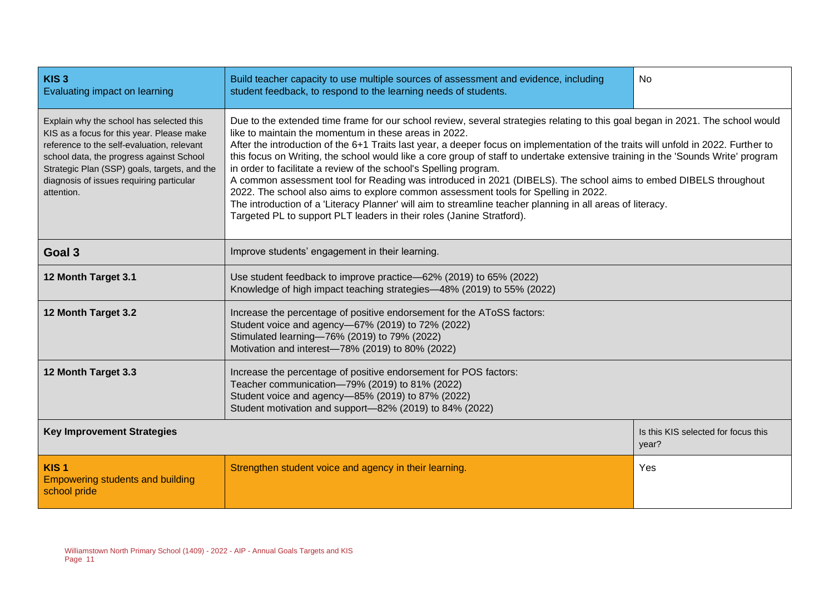| KIS <sub>3</sub><br>Evaluating impact on learning                                                                                                                                                                                                                                         | Build teacher capacity to use multiple sources of assessment and evidence, including<br>student feedback, to respond to the learning needs of students.                                                                                                                                                                                                                                                                                                                                                                                                                                                                                                                                                                                                                                                                                                                                                                                  | No                                           |  |
|-------------------------------------------------------------------------------------------------------------------------------------------------------------------------------------------------------------------------------------------------------------------------------------------|------------------------------------------------------------------------------------------------------------------------------------------------------------------------------------------------------------------------------------------------------------------------------------------------------------------------------------------------------------------------------------------------------------------------------------------------------------------------------------------------------------------------------------------------------------------------------------------------------------------------------------------------------------------------------------------------------------------------------------------------------------------------------------------------------------------------------------------------------------------------------------------------------------------------------------------|----------------------------------------------|--|
| Explain why the school has selected this<br>KIS as a focus for this year. Please make<br>reference to the self-evaluation, relevant<br>school data, the progress against School<br>Strategic Plan (SSP) goals, targets, and the<br>diagnosis of issues requiring particular<br>attention. | Due to the extended time frame for our school review, several strategies relating to this goal began in 2021. The school would<br>like to maintain the momentum in these areas in 2022.<br>After the introduction of the 6+1 Traits last year, a deeper focus on implementation of the traits will unfold in 2022. Further to<br>this focus on Writing, the school would like a core group of staff to undertake extensive training in the 'Sounds Write' program<br>in order to facilitate a review of the school's Spelling program.<br>A common assessment tool for Reading was introduced in 2021 (DIBELS). The school aims to embed DIBELS throughout<br>2022. The school also aims to explore common assessment tools for Spelling in 2022.<br>The introduction of a 'Literacy Planner' will aim to streamline teacher planning in all areas of literacy.<br>Targeted PL to support PLT leaders in their roles (Janine Stratford). |                                              |  |
| Goal 3                                                                                                                                                                                                                                                                                    | Improve students' engagement in their learning.                                                                                                                                                                                                                                                                                                                                                                                                                                                                                                                                                                                                                                                                                                                                                                                                                                                                                          |                                              |  |
| 12 Month Target 3.1                                                                                                                                                                                                                                                                       | Use student feedback to improve practice-62% (2019) to 65% (2022)<br>Knowledge of high impact teaching strategies-48% (2019) to 55% (2022)                                                                                                                                                                                                                                                                                                                                                                                                                                                                                                                                                                                                                                                                                                                                                                                               |                                              |  |
| 12 Month Target 3.2                                                                                                                                                                                                                                                                       | Increase the percentage of positive endorsement for the AToSS factors:<br>Student voice and agency-67% (2019) to 72% (2022)<br>Stimulated learning-76% (2019) to 79% (2022)<br>Motivation and interest-78% (2019) to 80% (2022)                                                                                                                                                                                                                                                                                                                                                                                                                                                                                                                                                                                                                                                                                                          |                                              |  |
| 12 Month Target 3.3                                                                                                                                                                                                                                                                       | Increase the percentage of positive endorsement for POS factors:<br>Teacher communication-79% (2019) to 81% (2022)<br>Student voice and agency-85% (2019) to 87% (2022)<br>Student motivation and support-82% (2019) to 84% (2022)                                                                                                                                                                                                                                                                                                                                                                                                                                                                                                                                                                                                                                                                                                       |                                              |  |
| <b>Key Improvement Strategies</b>                                                                                                                                                                                                                                                         |                                                                                                                                                                                                                                                                                                                                                                                                                                                                                                                                                                                                                                                                                                                                                                                                                                                                                                                                          | Is this KIS selected for focus this<br>year? |  |
| KIS <sub>1</sub><br><b>Empowering students and building</b><br>school pride                                                                                                                                                                                                               | Strengthen student voice and agency in their learning.                                                                                                                                                                                                                                                                                                                                                                                                                                                                                                                                                                                                                                                                                                                                                                                                                                                                                   | Yes                                          |  |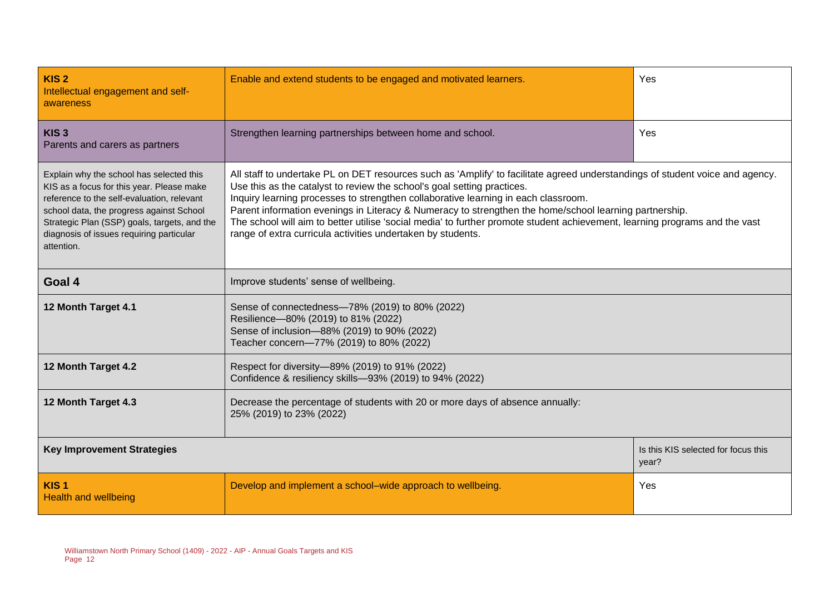| KIS <sub>2</sub><br>Intellectual engagement and self-<br>awareness                                                                                                                                                                                                                        | Enable and extend students to be engaged and motivated learners.                                                                                                                                                                                                                                                                                                                                                                                                                                                                                                                                       | Yes                                          |  |
|-------------------------------------------------------------------------------------------------------------------------------------------------------------------------------------------------------------------------------------------------------------------------------------------|--------------------------------------------------------------------------------------------------------------------------------------------------------------------------------------------------------------------------------------------------------------------------------------------------------------------------------------------------------------------------------------------------------------------------------------------------------------------------------------------------------------------------------------------------------------------------------------------------------|----------------------------------------------|--|
| KIS <sub>3</sub><br>Parents and carers as partners                                                                                                                                                                                                                                        | Strengthen learning partnerships between home and school.                                                                                                                                                                                                                                                                                                                                                                                                                                                                                                                                              | Yes                                          |  |
| Explain why the school has selected this<br>KIS as a focus for this year. Please make<br>reference to the self-evaluation, relevant<br>school data, the progress against School<br>Strategic Plan (SSP) goals, targets, and the<br>diagnosis of issues requiring particular<br>attention. | All staff to undertake PL on DET resources such as 'Amplify' to facilitate agreed understandings of student voice and agency.<br>Use this as the catalyst to review the school's goal setting practices.<br>Inquiry learning processes to strengthen collaborative learning in each classroom.<br>Parent information evenings in Literacy & Numeracy to strengthen the home/school learning partnership.<br>The school will aim to better utilise 'social media' to further promote student achievement, learning programs and the vast<br>range of extra curricula activities undertaken by students. |                                              |  |
| Goal 4                                                                                                                                                                                                                                                                                    | Improve students' sense of wellbeing.                                                                                                                                                                                                                                                                                                                                                                                                                                                                                                                                                                  |                                              |  |
| 12 Month Target 4.1                                                                                                                                                                                                                                                                       | Sense of connectedness-78% (2019) to 80% (2022)<br>Resilience-80% (2019) to 81% (2022)<br>Sense of inclusion-88% (2019) to 90% (2022)<br>Teacher concern-77% (2019) to 80% (2022)                                                                                                                                                                                                                                                                                                                                                                                                                      |                                              |  |
| 12 Month Target 4.2                                                                                                                                                                                                                                                                       | Respect for diversity-89% (2019) to 91% (2022)<br>Confidence & resiliency skills-93% (2019) to 94% (2022)                                                                                                                                                                                                                                                                                                                                                                                                                                                                                              |                                              |  |
| 12 Month Target 4.3                                                                                                                                                                                                                                                                       | Decrease the percentage of students with 20 or more days of absence annually:<br>25% (2019) to 23% (2022)                                                                                                                                                                                                                                                                                                                                                                                                                                                                                              |                                              |  |
| <b>Key Improvement Strategies</b>                                                                                                                                                                                                                                                         |                                                                                                                                                                                                                                                                                                                                                                                                                                                                                                                                                                                                        | Is this KIS selected for focus this<br>year? |  |
| KIS <sub>1</sub><br><b>Health and wellbeing</b>                                                                                                                                                                                                                                           | Develop and implement a school-wide approach to wellbeing.                                                                                                                                                                                                                                                                                                                                                                                                                                                                                                                                             | Yes                                          |  |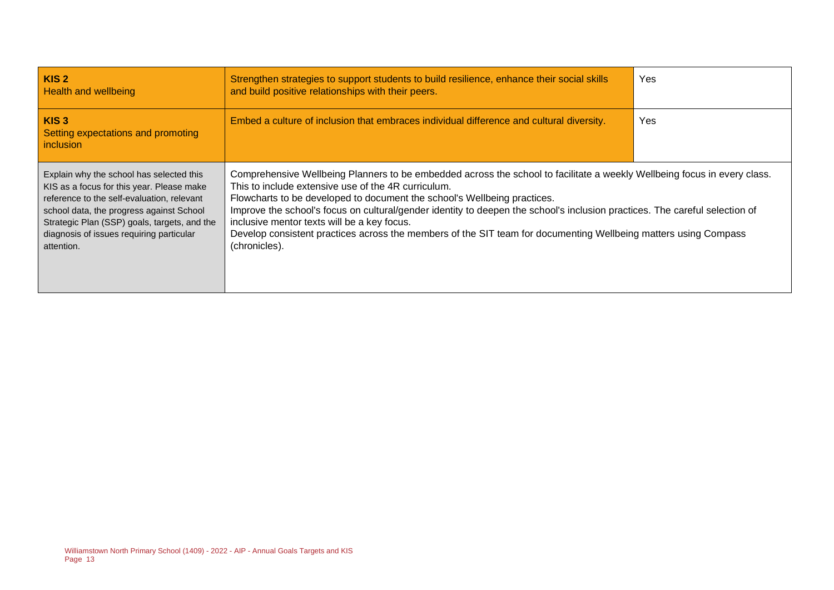| KIS <sub>2</sub><br><b>Health and wellbeing</b>                                                                                                                                                                                                                                           | Strengthen strategies to support students to build resilience, enhance their social skills<br>and build positive relationships with their peers.                                                                                                                                                                                                                                                                                                                                                                                                                              | Yes |
|-------------------------------------------------------------------------------------------------------------------------------------------------------------------------------------------------------------------------------------------------------------------------------------------|-------------------------------------------------------------------------------------------------------------------------------------------------------------------------------------------------------------------------------------------------------------------------------------------------------------------------------------------------------------------------------------------------------------------------------------------------------------------------------------------------------------------------------------------------------------------------------|-----|
| KIS <sub>3</sub><br>Setting expectations and promoting<br>inclusion                                                                                                                                                                                                                       | Embed a culture of inclusion that embraces individual difference and cultural diversity.                                                                                                                                                                                                                                                                                                                                                                                                                                                                                      | Yes |
| Explain why the school has selected this<br>KIS as a focus for this year. Please make<br>reference to the self-evaluation, relevant<br>school data, the progress against School<br>Strategic Plan (SSP) goals, targets, and the<br>diagnosis of issues requiring particular<br>attention. | Comprehensive Wellbeing Planners to be embedded across the school to facilitate a weekly Wellbeing focus in every class.<br>This to include extensive use of the 4R curriculum.<br>Flowcharts to be developed to document the school's Wellbeing practices.<br>Improve the school's focus on cultural/gender identity to deepen the school's inclusion practices. The careful selection of<br>inclusive mentor texts will be a key focus.<br>Develop consistent practices across the members of the SIT team for documenting Wellbeing matters using Compass<br>(chronicles). |     |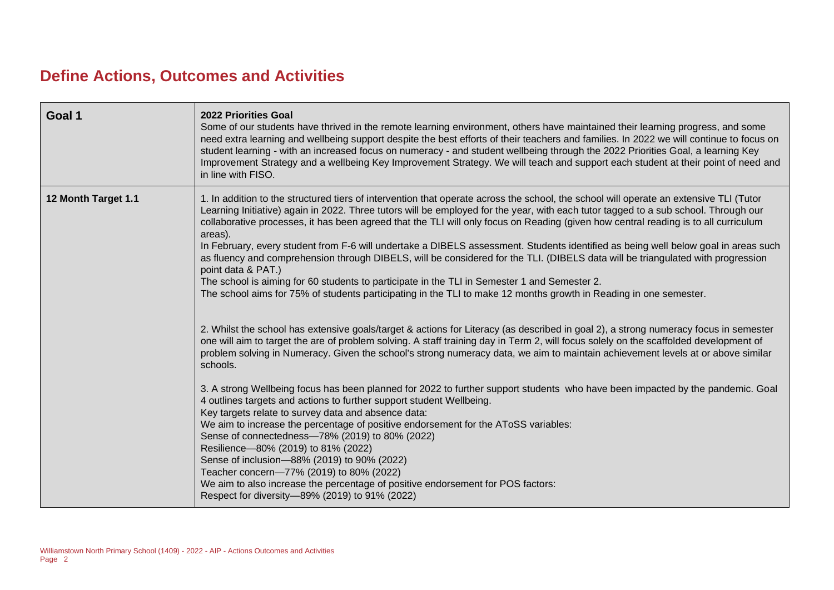## **Define Actions, Outcomes and Activities**

| Goal 1              | <b>2022 Priorities Goal</b><br>Some of our students have thrived in the remote learning environment, others have maintained their learning progress, and some<br>need extra learning and wellbeing support despite the best efforts of their teachers and families. In 2022 we will continue to focus on<br>student learning - with an increased focus on numeracy - and student wellbeing through the 2022 Priorities Goal, a learning Key<br>Improvement Strategy and a wellbeing Key Improvement Strategy. We will teach and support each student at their point of need and<br>in line with FISO.                                                                                                                                                                                                                                                                                                                                                                                                                                                                                                         |
|---------------------|---------------------------------------------------------------------------------------------------------------------------------------------------------------------------------------------------------------------------------------------------------------------------------------------------------------------------------------------------------------------------------------------------------------------------------------------------------------------------------------------------------------------------------------------------------------------------------------------------------------------------------------------------------------------------------------------------------------------------------------------------------------------------------------------------------------------------------------------------------------------------------------------------------------------------------------------------------------------------------------------------------------------------------------------------------------------------------------------------------------|
| 12 Month Target 1.1 | 1. In addition to the structured tiers of intervention that operate across the school, the school will operate an extensive TLI (Tutor<br>Learning Initiative) again in 2022. Three tutors will be employed for the year, with each tutor tagged to a sub school. Through our<br>collaborative processes, it has been agreed that the TLI will only focus on Reading (given how central reading is to all curriculum<br>areas).<br>In February, every student from F-6 will undertake a DIBELS assessment. Students identified as being well below goal in areas such<br>as fluency and comprehension through DIBELS, will be considered for the TLI. (DIBELS data will be triangulated with progression<br>point data & PAT.)<br>The school is aiming for 60 students to participate in the TLI in Semester 1 and Semester 2.<br>The school aims for 75% of students participating in the TLI to make 12 months growth in Reading in one semester.                                                                                                                                                           |
|                     | 2. Whilst the school has extensive goals/target & actions for Literacy (as described in goal 2), a strong numeracy focus in semester<br>one will aim to target the are of problem solving. A staff training day in Term 2, will focus solely on the scaffolded development of<br>problem solving in Numeracy. Given the school's strong numeracy data, we aim to maintain achievement levels at or above similar<br>schools.<br>3. A strong Wellbeing focus has been planned for 2022 to further support students who have been impacted by the pandemic. Goal<br>4 outlines targets and actions to further support student Wellbeing.<br>Key targets relate to survey data and absence data:<br>We aim to increase the percentage of positive endorsement for the AToSS variables:<br>Sense of connectedness-78% (2019) to 80% (2022)<br>Resilience-80% (2019) to 81% (2022)<br>Sense of inclusion-88% (2019) to 90% (2022)<br>Teacher concern-77% (2019) to 80% (2022)<br>We aim to also increase the percentage of positive endorsement for POS factors:<br>Respect for diversity-89% (2019) to 91% (2022) |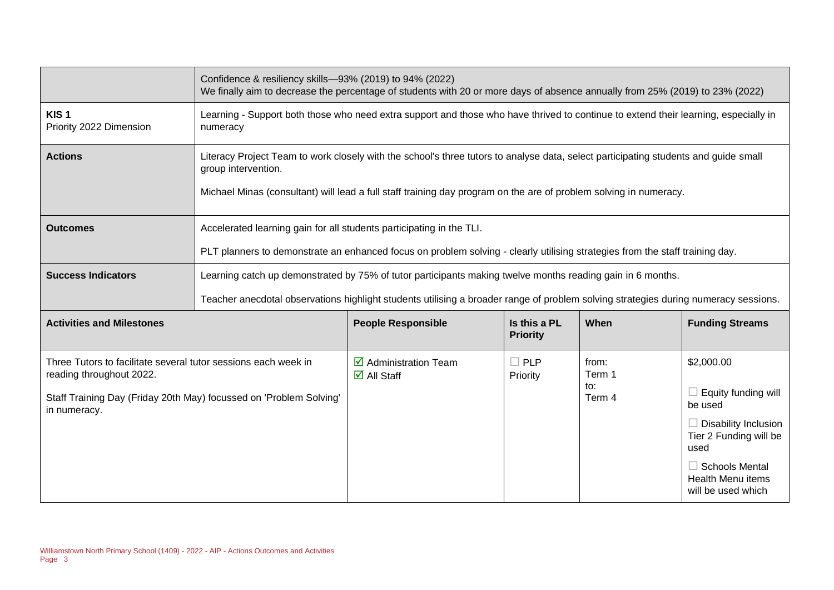|                                                                                                            | Confidence & resiliency skills-93% (2019) to 94% (2022)<br>We finally aim to decrease the percentage of students with 20 or more days of absence annually from 25% (2019) to 23% (2022)                                                                                         |                                                                                                                                     |                                 |                                  |                                                                                                                                                                                          |
|------------------------------------------------------------------------------------------------------------|---------------------------------------------------------------------------------------------------------------------------------------------------------------------------------------------------------------------------------------------------------------------------------|-------------------------------------------------------------------------------------------------------------------------------------|---------------------------------|----------------------------------|------------------------------------------------------------------------------------------------------------------------------------------------------------------------------------------|
| KIS <sub>1</sub><br>Priority 2022 Dimension                                                                | numeracy                                                                                                                                                                                                                                                                        | Learning - Support both those who need extra support and those who have thrived to continue to extend their learning, especially in |                                 |                                  |                                                                                                                                                                                          |
| <b>Actions</b>                                                                                             | Literacy Project Team to work closely with the school's three tutors to analyse data, select participating students and guide small<br>group intervention.<br>Michael Minas (consultant) will lead a full staff training day program on the are of problem solving in numeracy. |                                                                                                                                     |                                 |                                  |                                                                                                                                                                                          |
| <b>Outcomes</b>                                                                                            | Accelerated learning gain for all students participating in the TLI.<br>PLT planners to demonstrate an enhanced focus on problem solving - clearly utilising strategies from the staff training day.                                                                            |                                                                                                                                     |                                 |                                  |                                                                                                                                                                                          |
| <b>Success Indicators</b>                                                                                  |                                                                                                                                                                                                                                                                                 | Learning catch up demonstrated by 75% of tutor participants making twelve months reading gain in 6 months.                          |                                 |                                  |                                                                                                                                                                                          |
|                                                                                                            |                                                                                                                                                                                                                                                                                 | Teacher anecdotal observations highlight students utilising a broader range of problem solving strategies during numeracy sessions. |                                 |                                  |                                                                                                                                                                                          |
| <b>Activities and Milestones</b>                                                                           |                                                                                                                                                                                                                                                                                 | <b>People Responsible</b>                                                                                                           | Is this a PL<br><b>Priority</b> | When                             | <b>Funding Streams</b>                                                                                                                                                                   |
| Three Tutors to facilitate several tutor sessions each week in<br>reading throughout 2022.<br>in numeracy. | Staff Training Day (Friday 20th May) focussed on 'Problem Solving'                                                                                                                                                                                                              | $\overline{\mathbf{y}}$ Administration Team<br>$\overline{\mathsf{M}}$ All Staff                                                    | $\Box$ PLP<br>Priority          | from:<br>Term 1<br>to:<br>Term 4 | \$2,000.00<br>$\Box$ Equity funding will<br>be used<br>$\Box$ Disability Inclusion<br>Tier 2 Funding will be<br>used<br>$\Box$ Schools Mental<br>Health Menu items<br>will be used which |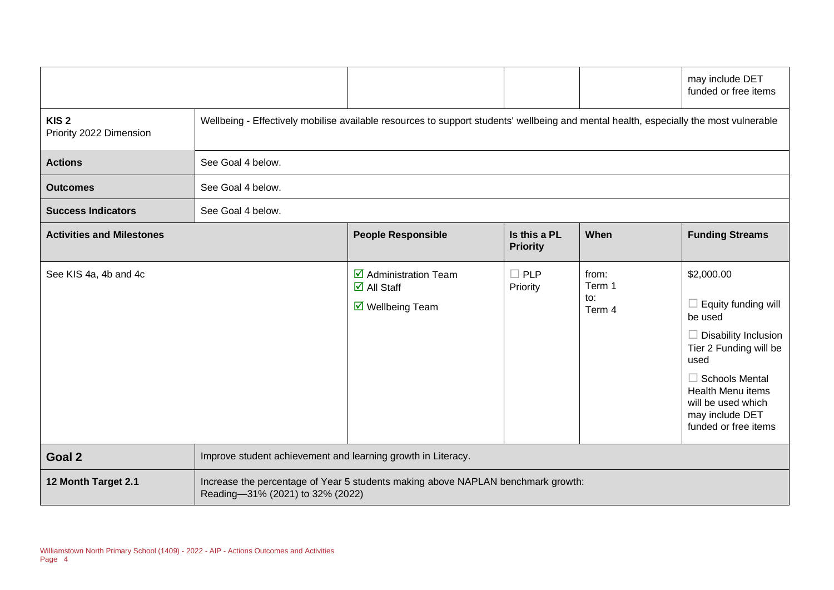|                                             |                                                                                                                      |                                                                                                                                       |                                 |                                  | may include DET<br>funded or free items                                                                                                                                                                                      |
|---------------------------------------------|----------------------------------------------------------------------------------------------------------------------|---------------------------------------------------------------------------------------------------------------------------------------|---------------------------------|----------------------------------|------------------------------------------------------------------------------------------------------------------------------------------------------------------------------------------------------------------------------|
| KIS <sub>2</sub><br>Priority 2022 Dimension |                                                                                                                      | Wellbeing - Effectively mobilise available resources to support students' wellbeing and mental health, especially the most vulnerable |                                 |                                  |                                                                                                                                                                                                                              |
| <b>Actions</b>                              | See Goal 4 below.                                                                                                    |                                                                                                                                       |                                 |                                  |                                                                                                                                                                                                                              |
| <b>Outcomes</b>                             | See Goal 4 below.                                                                                                    |                                                                                                                                       |                                 |                                  |                                                                                                                                                                                                                              |
| <b>Success Indicators</b>                   | See Goal 4 below.                                                                                                    |                                                                                                                                       |                                 |                                  |                                                                                                                                                                                                                              |
| <b>Activities and Milestones</b>            |                                                                                                                      | <b>People Responsible</b>                                                                                                             | Is this a PL<br><b>Priority</b> | When                             | <b>Funding Streams</b>                                                                                                                                                                                                       |
| See KIS 4a, 4b and 4c                       |                                                                                                                      | $\overline{\mathbf{2}}$ Administration Team<br>$\boxtimes$ All Staff<br>$\triangledown$ Wellbeing Team                                | $\Box$ PLP<br>Priority          | from:<br>Term 1<br>to:<br>Term 4 | \$2,000.00<br>Equity funding will<br>be used<br>Disability Inclusion<br>Tier 2 Funding will be<br>used<br>$\Box$ Schools Mental<br><b>Health Menu items</b><br>will be used which<br>may include DET<br>funded or free items |
| Goal 2                                      | Improve student achievement and learning growth in Literacy.                                                         |                                                                                                                                       |                                 |                                  |                                                                                                                                                                                                                              |
| 12 Month Target 2.1                         | Increase the percentage of Year 5 students making above NAPLAN benchmark growth:<br>Reading-31% (2021) to 32% (2022) |                                                                                                                                       |                                 |                                  |                                                                                                                                                                                                                              |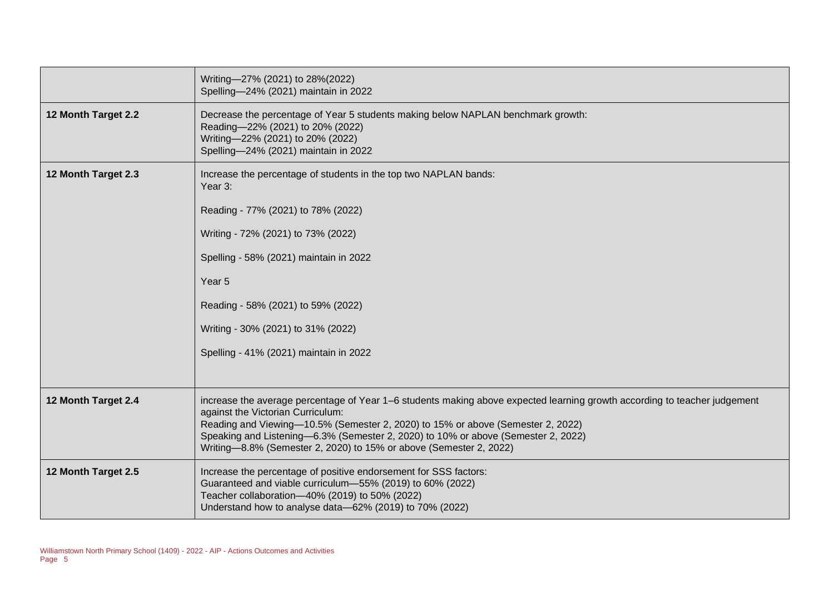|                     | Writing-27% (2021) to 28%(2022)<br>Spelling-24% (2021) maintain in 2022                                                                                                                                                                                                                                                                                                                                      |
|---------------------|--------------------------------------------------------------------------------------------------------------------------------------------------------------------------------------------------------------------------------------------------------------------------------------------------------------------------------------------------------------------------------------------------------------|
| 12 Month Target 2.2 | Decrease the percentage of Year 5 students making below NAPLAN benchmark growth:<br>Reading-22% (2021) to 20% (2022)<br>Writing-22% (2021) to 20% (2022)<br>Spelling-24% (2021) maintain in 2022                                                                                                                                                                                                             |
| 12 Month Target 2.3 | Increase the percentage of students in the top two NAPLAN bands:<br>Year 3:<br>Reading - 77% (2021) to 78% (2022)<br>Writing - 72% (2021) to 73% (2022)<br>Spelling - 58% (2021) maintain in 2022<br>Year <sub>5</sub><br>Reading - 58% (2021) to 59% (2022)<br>Writing - 30% (2021) to 31% (2022)<br>Spelling - 41% (2021) maintain in 2022                                                                 |
| 12 Month Target 2.4 | increase the average percentage of Year 1-6 students making above expected learning growth according to teacher judgement<br>against the Victorian Curriculum:<br>Reading and Viewing-10.5% (Semester 2, 2020) to 15% or above (Semester 2, 2022)<br>Speaking and Listening-6.3% (Semester 2, 2020) to 10% or above (Semester 2, 2022)<br>Writing-8.8% (Semester 2, 2020) to 15% or above (Semester 2, 2022) |
| 12 Month Target 2.5 | Increase the percentage of positive endorsement for SSS factors:<br>Guaranteed and viable curriculum-55% (2019) to 60% (2022)<br>Teacher collaboration-40% (2019) to 50% (2022)<br>Understand how to analyse data-62% (2019) to 70% (2022)                                                                                                                                                                   |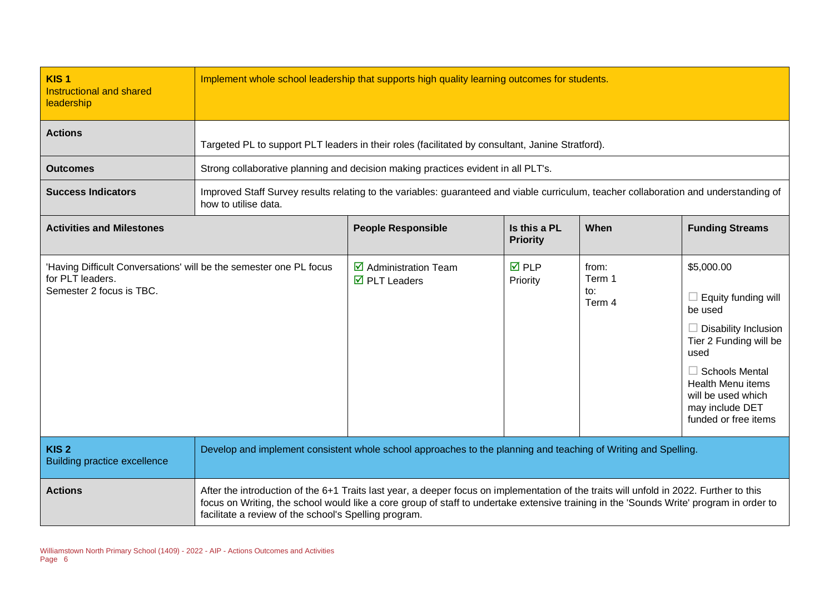| KIS <sub>1</sub><br>Instructional and shared<br>leadership                                                         | Implement whole school leadership that supports high quality learning outcomes for students.                   |                                                                                                                                                                                                                                                                                    |                                 |                                  |                                                                                                                                                                                                                                     |
|--------------------------------------------------------------------------------------------------------------------|----------------------------------------------------------------------------------------------------------------|------------------------------------------------------------------------------------------------------------------------------------------------------------------------------------------------------------------------------------------------------------------------------------|---------------------------------|----------------------------------|-------------------------------------------------------------------------------------------------------------------------------------------------------------------------------------------------------------------------------------|
| <b>Actions</b>                                                                                                     |                                                                                                                | Targeted PL to support PLT leaders in their roles (facilitated by consultant, Janine Stratford).                                                                                                                                                                                   |                                 |                                  |                                                                                                                                                                                                                                     |
| <b>Outcomes</b>                                                                                                    |                                                                                                                | Strong collaborative planning and decision making practices evident in all PLT's.                                                                                                                                                                                                  |                                 |                                  |                                                                                                                                                                                                                                     |
| <b>Success Indicators</b>                                                                                          | how to utilise data.                                                                                           | Improved Staff Survey results relating to the variables: guaranteed and viable curriculum, teacher collaboration and understanding of                                                                                                                                              |                                 |                                  |                                                                                                                                                                                                                                     |
| <b>Activities and Milestones</b>                                                                                   |                                                                                                                | <b>People Responsible</b>                                                                                                                                                                                                                                                          | Is this a PL<br><b>Priority</b> | When                             | <b>Funding Streams</b>                                                                                                                                                                                                              |
| 'Having Difficult Conversations' will be the semester one PL focus<br>for PLT leaders.<br>Semester 2 focus is TBC. |                                                                                                                | $\boxtimes$ Administration Team<br>$\overline{\boxtimes}$ PLT Leaders                                                                                                                                                                                                              | $\overline{M}$ PLP<br>Priority  | from:<br>Term 1<br>to:<br>Term 4 | \$5,000.00<br>$\Box$ Equity funding will<br>be used<br>$\Box$ Disability Inclusion<br>Tier 2 Funding will be<br>used<br>$\Box$ Schools Mental<br>Health Menu items<br>will be used which<br>may include DET<br>funded or free items |
| KIS <sub>2</sub><br><b>Building practice excellence</b>                                                            | Develop and implement consistent whole school approaches to the planning and teaching of Writing and Spelling. |                                                                                                                                                                                                                                                                                    |                                 |                                  |                                                                                                                                                                                                                                     |
| <b>Actions</b>                                                                                                     | facilitate a review of the school's Spelling program.                                                          | After the introduction of the 6+1 Traits last year, a deeper focus on implementation of the traits will unfold in 2022. Further to this<br>focus on Writing, the school would like a core group of staff to undertake extensive training in the 'Sounds Write' program in order to |                                 |                                  |                                                                                                                                                                                                                                     |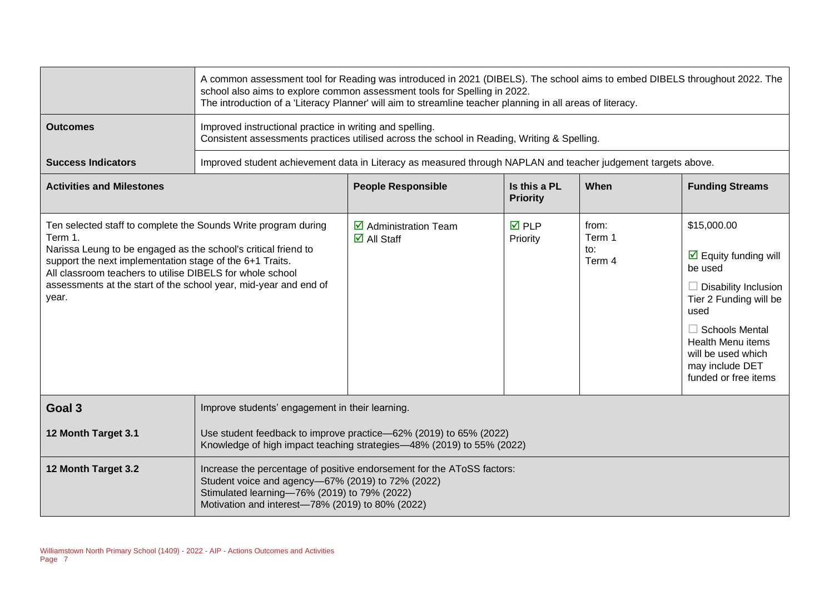|                                                                                                                                                                                                                                                                                                                                                   | A common assessment tool for Reading was introduced in 2021 (DIBELS). The school aims to embed DIBELS throughout 2022. The<br>school also aims to explore common assessment tools for Spelling in 2022.<br>The introduction of a 'Literacy Planner' will aim to streamline teacher planning in all areas of literacy. |                                                                                                               |                                 |                                  |                                                                                                                                                                                                                                                       |
|---------------------------------------------------------------------------------------------------------------------------------------------------------------------------------------------------------------------------------------------------------------------------------------------------------------------------------------------------|-----------------------------------------------------------------------------------------------------------------------------------------------------------------------------------------------------------------------------------------------------------------------------------------------------------------------|---------------------------------------------------------------------------------------------------------------|---------------------------------|----------------------------------|-------------------------------------------------------------------------------------------------------------------------------------------------------------------------------------------------------------------------------------------------------|
| <b>Outcomes</b>                                                                                                                                                                                                                                                                                                                                   | Improved instructional practice in writing and spelling.                                                                                                                                                                                                                                                              | Consistent assessments practices utilised across the school in Reading, Writing & Spelling.                   |                                 |                                  |                                                                                                                                                                                                                                                       |
| <b>Success Indicators</b>                                                                                                                                                                                                                                                                                                                         |                                                                                                                                                                                                                                                                                                                       | Improved student achievement data in Literacy as measured through NAPLAN and teacher judgement targets above. |                                 |                                  |                                                                                                                                                                                                                                                       |
| <b>Activities and Milestones</b>                                                                                                                                                                                                                                                                                                                  |                                                                                                                                                                                                                                                                                                                       | <b>People Responsible</b>                                                                                     | Is this a PL<br><b>Priority</b> | When                             | <b>Funding Streams</b>                                                                                                                                                                                                                                |
| Ten selected staff to complete the Sounds Write program during<br>Term 1.<br>Narissa Leung to be engaged as the school's critical friend to<br>support the next implementation stage of the 6+1 Traits.<br>All classroom teachers to utilise DIBELS for whole school<br>assessments at the start of the school year, mid-year and end of<br>year. |                                                                                                                                                                                                                                                                                                                       | $\boxtimes$ Administration Team<br>$\overline{\mathsf{d}}$ All Staff                                          | <b>☑</b> PLP<br>Priority        | from:<br>Term 1<br>to:<br>Term 4 | \$15,000.00<br>$\triangleright$ Equity funding will<br>be used<br>$\Box$ Disability Inclusion<br>Tier 2 Funding will be<br>used<br>$\Box$ Schools Mental<br><b>Health Menu items</b><br>will be used which<br>may include DET<br>funded or free items |
| Goal <sub>3</sub>                                                                                                                                                                                                                                                                                                                                 | Improve students' engagement in their learning.                                                                                                                                                                                                                                                                       |                                                                                                               |                                 |                                  |                                                                                                                                                                                                                                                       |
| 12 Month Target 3.1                                                                                                                                                                                                                                                                                                                               | Use student feedback to improve practice-62% (2019) to 65% (2022)<br>Knowledge of high impact teaching strategies-48% (2019) to 55% (2022)                                                                                                                                                                            |                                                                                                               |                                 |                                  |                                                                                                                                                                                                                                                       |
| 12 Month Target 3.2                                                                                                                                                                                                                                                                                                                               | Increase the percentage of positive endorsement for the AToSS factors:<br>Student voice and agency-67% (2019) to 72% (2022)<br>Stimulated learning-76% (2019) to 79% (2022)<br>Motivation and interest-78% (2019) to 80% (2022)                                                                                       |                                                                                                               |                                 |                                  |                                                                                                                                                                                                                                                       |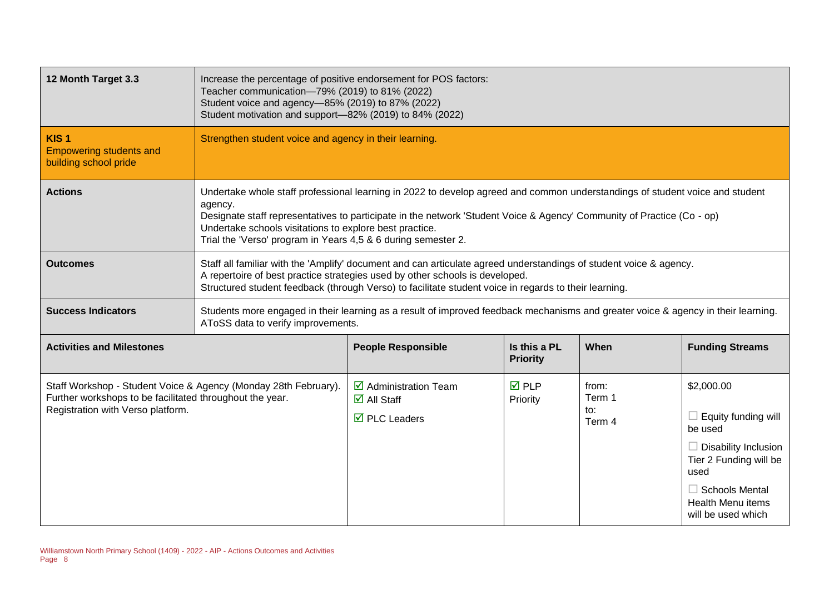| 12 Month Target 3.3                                                                           | Increase the percentage of positive endorsement for POS factors:<br>Teacher communication-79% (2019) to 81% (2022)<br>Student voice and agency-85% (2019) to 87% (2022)<br>Student motivation and support-82% (2019) to 84% (2022)                                                                                                                                                            |                                                                                                                                   |                                 |                                  |                                                                                                                                                                                                 |
|-----------------------------------------------------------------------------------------------|-----------------------------------------------------------------------------------------------------------------------------------------------------------------------------------------------------------------------------------------------------------------------------------------------------------------------------------------------------------------------------------------------|-----------------------------------------------------------------------------------------------------------------------------------|---------------------------------|----------------------------------|-------------------------------------------------------------------------------------------------------------------------------------------------------------------------------------------------|
| KIS <sub>1</sub><br><b>Empowering students and</b><br>building school pride                   | Strengthen student voice and agency in their learning.                                                                                                                                                                                                                                                                                                                                        |                                                                                                                                   |                                 |                                  |                                                                                                                                                                                                 |
| <b>Actions</b>                                                                                | Undertake whole staff professional learning in 2022 to develop agreed and common understandings of student voice and student<br>agency.<br>Designate staff representatives to participate in the network 'Student Voice & Agency' Community of Practice (Co - op)<br>Undertake schools visitations to explore best practice.<br>Trial the 'Verso' program in Years 4,5 & 6 during semester 2. |                                                                                                                                   |                                 |                                  |                                                                                                                                                                                                 |
| Outcomes                                                                                      | Staff all familiar with the 'Amplify' document and can articulate agreed understandings of student voice & agency.<br>A repertoire of best practice strategies used by other schools is developed.<br>Structured student feedback (through Verso) to facilitate student voice in regards to their learning.                                                                                   |                                                                                                                                   |                                 |                                  |                                                                                                                                                                                                 |
| <b>Success Indicators</b>                                                                     | AToSS data to verify improvements.                                                                                                                                                                                                                                                                                                                                                            | Students more engaged in their learning as a result of improved feedback mechanisms and greater voice & agency in their learning. |                                 |                                  |                                                                                                                                                                                                 |
| <b>Activities and Milestones</b>                                                              |                                                                                                                                                                                                                                                                                                                                                                                               | <b>People Responsible</b>                                                                                                         | Is this a PL<br><b>Priority</b> | When                             | <b>Funding Streams</b>                                                                                                                                                                          |
| Further workshops to be facilitated throughout the year.<br>Registration with Verso platform. | Staff Workshop - Student Voice & Agency (Monday 28th February).                                                                                                                                                                                                                                                                                                                               | $\boxtimes$ Administration Team<br>$\overline{\mathbf{M}}$ All Staff<br>$\overline{\boxtimes}$ PLC Leaders                        | $\overline{M}$ PLP<br>Priority  | from:<br>Term 1<br>to:<br>Term 4 | \$2,000.00<br>$\Box$ Equity funding will<br>be used<br>$\Box$ Disability Inclusion<br>Tier 2 Funding will be<br>used<br>$\Box$ Schools Mental<br><b>Health Menu items</b><br>will be used which |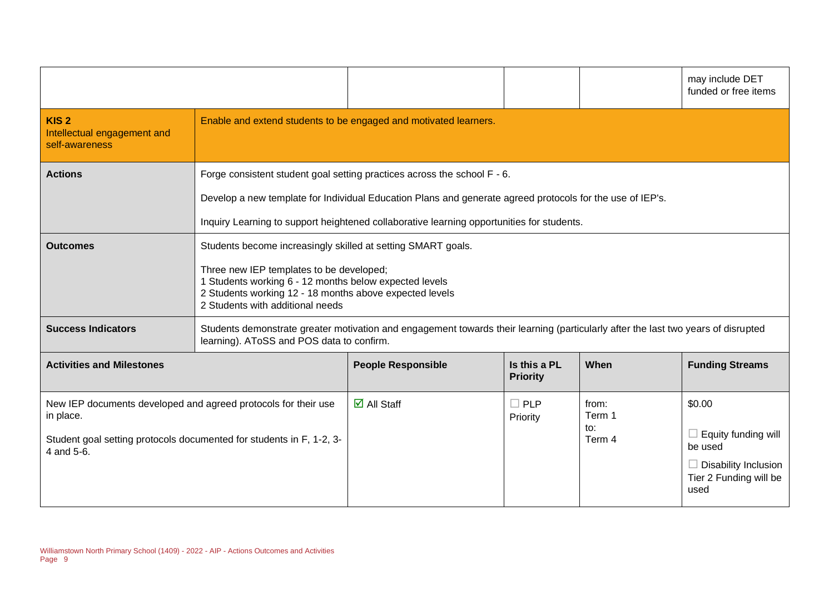|                                                                                           |                                                                                                                                                                                                                                                                                    |                                                                                                                                   |                                 |                                  | may include DET<br>funded or free items                                                                          |
|-------------------------------------------------------------------------------------------|------------------------------------------------------------------------------------------------------------------------------------------------------------------------------------------------------------------------------------------------------------------------------------|-----------------------------------------------------------------------------------------------------------------------------------|---------------------------------|----------------------------------|------------------------------------------------------------------------------------------------------------------|
| KIS <sub>2</sub><br>Intellectual engagement and<br>self-awareness                         |                                                                                                                                                                                                                                                                                    | Enable and extend students to be engaged and motivated learners.                                                                  |                                 |                                  |                                                                                                                  |
| <b>Actions</b>                                                                            | Forge consistent student goal setting practices across the school F - 6.<br>Develop a new template for Individual Education Plans and generate agreed protocols for the use of IEP's.<br>Inquiry Learning to support heightened collaborative learning opportunities for students. |                                                                                                                                   |                                 |                                  |                                                                                                                  |
| <b>Outcomes</b>                                                                           | Students become increasingly skilled at setting SMART goals.<br>Three new IEP templates to be developed;<br>1 Students working 6 - 12 months below expected levels<br>2 Students working 12 - 18 months above expected levels<br>2 Students with additional needs                  |                                                                                                                                   |                                 |                                  |                                                                                                                  |
| <b>Success Indicators</b>                                                                 | learning). AToSS and POS data to confirm.                                                                                                                                                                                                                                          | Students demonstrate greater motivation and engagement towards their learning (particularly after the last two years of disrupted |                                 |                                  |                                                                                                                  |
| <b>Activities and Milestones</b>                                                          |                                                                                                                                                                                                                                                                                    | <b>People Responsible</b>                                                                                                         | Is this a PL<br><b>Priority</b> | When                             | <b>Funding Streams</b>                                                                                           |
| New IEP documents developed and agreed protocols for their use<br>in place.<br>4 and 5-6. | Student goal setting protocols documented for students in F, 1-2, 3-                                                                                                                                                                                                               | $\overline{\mathbf{M}}$ All Staff                                                                                                 | $\Box$ PLP<br>Priority          | from:<br>Term 1<br>to:<br>Term 4 | \$0.00<br>$\Box$ Equity funding will<br>be used<br>$\Box$ Disability Inclusion<br>Tier 2 Funding will be<br>used |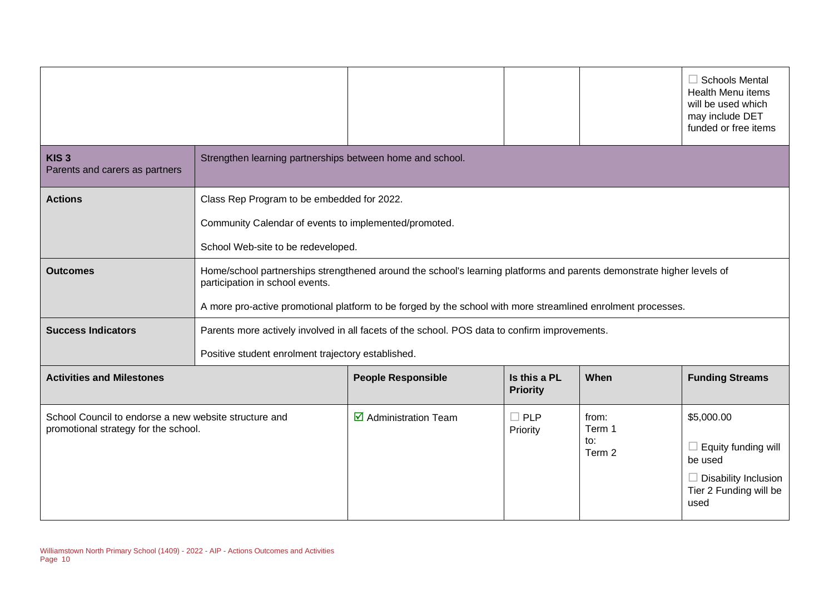|                                                                                               |                                                                                                                                                                                                                                                                          |                                                                                               |                                 |                                  | $\Box$ Schools Mental<br><b>Health Menu items</b><br>will be used which<br>may include DET<br>funded or free items   |
|-----------------------------------------------------------------------------------------------|--------------------------------------------------------------------------------------------------------------------------------------------------------------------------------------------------------------------------------------------------------------------------|-----------------------------------------------------------------------------------------------|---------------------------------|----------------------------------|----------------------------------------------------------------------------------------------------------------------|
| KIS <sub>3</sub><br>Parents and carers as partners                                            | Strengthen learning partnerships between home and school.                                                                                                                                                                                                                |                                                                                               |                                 |                                  |                                                                                                                      |
| <b>Actions</b>                                                                                | Class Rep Program to be embedded for 2022.<br>Community Calendar of events to implemented/promoted.<br>School Web-site to be redeveloped.                                                                                                                                |                                                                                               |                                 |                                  |                                                                                                                      |
| <b>Outcomes</b>                                                                               | Home/school partnerships strengthened around the school's learning platforms and parents demonstrate higher levels of<br>participation in school events.<br>A more pro-active promotional platform to be forged by the school with more streamlined enrolment processes. |                                                                                               |                                 |                                  |                                                                                                                      |
| <b>Success Indicators</b>                                                                     | Positive student enrolment trajectory established.                                                                                                                                                                                                                       | Parents more actively involved in all facets of the school. POS data to confirm improvements. |                                 |                                  |                                                                                                                      |
| <b>Activities and Milestones</b>                                                              |                                                                                                                                                                                                                                                                          | <b>People Responsible</b>                                                                     | Is this a PL<br><b>Priority</b> | When                             | <b>Funding Streams</b>                                                                                               |
| School Council to endorse a new website structure and<br>promotional strategy for the school. |                                                                                                                                                                                                                                                                          | $\boxtimes$ Administration Team                                                               | $\square$ PLP<br>Priority       | from:<br>Term 1<br>to:<br>Term 2 | \$5,000.00<br>$\Box$ Equity funding will<br>be used<br>$\Box$ Disability Inclusion<br>Tier 2 Funding will be<br>used |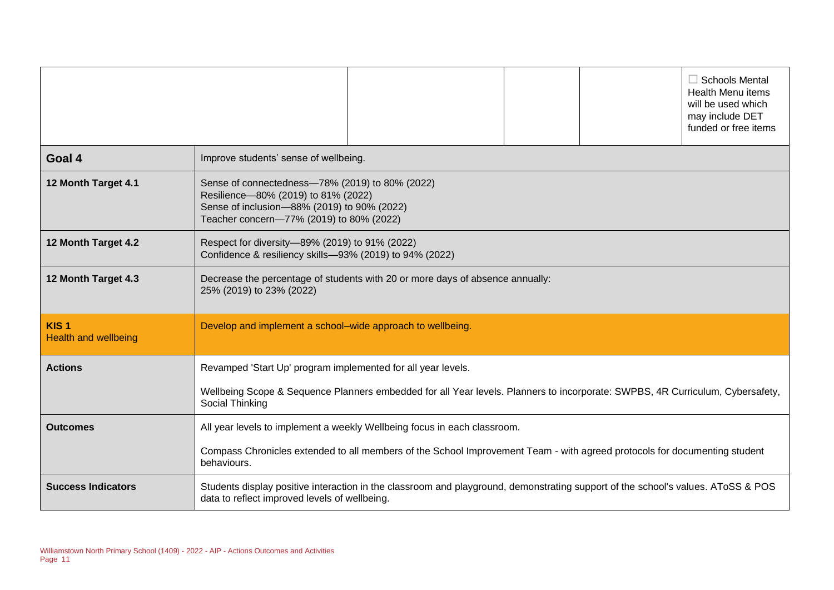|                                                 |                                                                                                                                                                                   | $\Box$ Schools Mental<br><b>Health Menu items</b><br>will be used which<br>may include DET<br>funded or free items |  |  |  |
|-------------------------------------------------|-----------------------------------------------------------------------------------------------------------------------------------------------------------------------------------|--------------------------------------------------------------------------------------------------------------------|--|--|--|
| Goal 4                                          | Improve students' sense of wellbeing.                                                                                                                                             |                                                                                                                    |  |  |  |
| 12 Month Target 4.1                             | Sense of connectedness-78% (2019) to 80% (2022)<br>Resilience-80% (2019) to 81% (2022)<br>Sense of inclusion-88% (2019) to 90% (2022)<br>Teacher concern-77% (2019) to 80% (2022) |                                                                                                                    |  |  |  |
| 12 Month Target 4.2                             | Respect for diversity-89% (2019) to 91% (2022)<br>Confidence & resiliency skills-93% (2019) to 94% (2022)                                                                         |                                                                                                                    |  |  |  |
| 12 Month Target 4.3                             | Decrease the percentage of students with 20 or more days of absence annually:<br>25% (2019) to 23% (2022)                                                                         |                                                                                                                    |  |  |  |
| KIS <sub>1</sub><br><b>Health and wellbeing</b> | Develop and implement a school-wide approach to wellbeing.                                                                                                                        |                                                                                                                    |  |  |  |
| <b>Actions</b>                                  | Revamped 'Start Up' program implemented for all year levels.                                                                                                                      |                                                                                                                    |  |  |  |
|                                                 | Wellbeing Scope & Sequence Planners embedded for all Year levels. Planners to incorporate: SWPBS, 4R Curriculum, Cybersafety,<br>Social Thinking                                  |                                                                                                                    |  |  |  |
| <b>Outcomes</b>                                 | All year levels to implement a weekly Wellbeing focus in each classroom.                                                                                                          |                                                                                                                    |  |  |  |
|                                                 | Compass Chronicles extended to all members of the School Improvement Team - with agreed protocols for documenting student<br>behaviours.                                          |                                                                                                                    |  |  |  |
| <b>Success Indicators</b>                       | Students display positive interaction in the classroom and playground, demonstrating support of the school's values. AToSS & POS<br>data to reflect improved levels of wellbeing. |                                                                                                                    |  |  |  |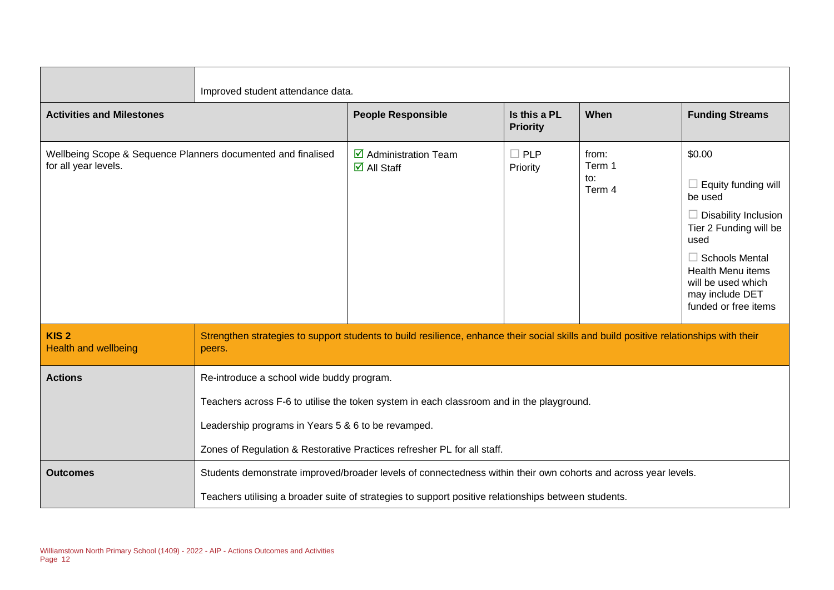|                                                                                      | Improved student attendance data.                                                                                                                                                                                                                                      |                                                                                                                                                                                                                        |                                 |                                  |                                                                                                                                                                                                                                        |
|--------------------------------------------------------------------------------------|------------------------------------------------------------------------------------------------------------------------------------------------------------------------------------------------------------------------------------------------------------------------|------------------------------------------------------------------------------------------------------------------------------------------------------------------------------------------------------------------------|---------------------------------|----------------------------------|----------------------------------------------------------------------------------------------------------------------------------------------------------------------------------------------------------------------------------------|
| <b>Activities and Milestones</b>                                                     |                                                                                                                                                                                                                                                                        | <b>People Responsible</b>                                                                                                                                                                                              | Is this a PL<br><b>Priority</b> | When                             | <b>Funding Streams</b>                                                                                                                                                                                                                 |
| Wellbeing Scope & Sequence Planners documented and finalised<br>for all year levels. |                                                                                                                                                                                                                                                                        | $\overline{\mathbf{2}}$ Administration Team<br>$\overline{\Box}$ All Staff                                                                                                                                             | $\Box$ PLP<br>Priority          | from:<br>Term 1<br>to:<br>Term 4 | \$0.00<br>$\Box$ Equity funding will<br>be used<br>$\Box$ Disability Inclusion<br>Tier 2 Funding will be<br>used<br>$\Box$ Schools Mental<br><b>Health Menu items</b><br>will be used which<br>may include DET<br>funded or free items |
| KIS <sub>2</sub><br><b>Health and wellbeing</b>                                      | peers.                                                                                                                                                                                                                                                                 | Strengthen strategies to support students to build resilience, enhance their social skills and build positive relationships with their                                                                                 |                                 |                                  |                                                                                                                                                                                                                                        |
| <b>Actions</b>                                                                       | Re-introduce a school wide buddy program.<br>Teachers across F-6 to utilise the token system in each classroom and in the playground.<br>Leadership programs in Years 5 & 6 to be revamped.<br>Zones of Regulation & Restorative Practices refresher PL for all staff. |                                                                                                                                                                                                                        |                                 |                                  |                                                                                                                                                                                                                                        |
| <b>Outcomes</b>                                                                      |                                                                                                                                                                                                                                                                        | Students demonstrate improved/broader levels of connectedness within their own cohorts and across year levels.<br>Teachers utilising a broader suite of strategies to support positive relationships between students. |                                 |                                  |                                                                                                                                                                                                                                        |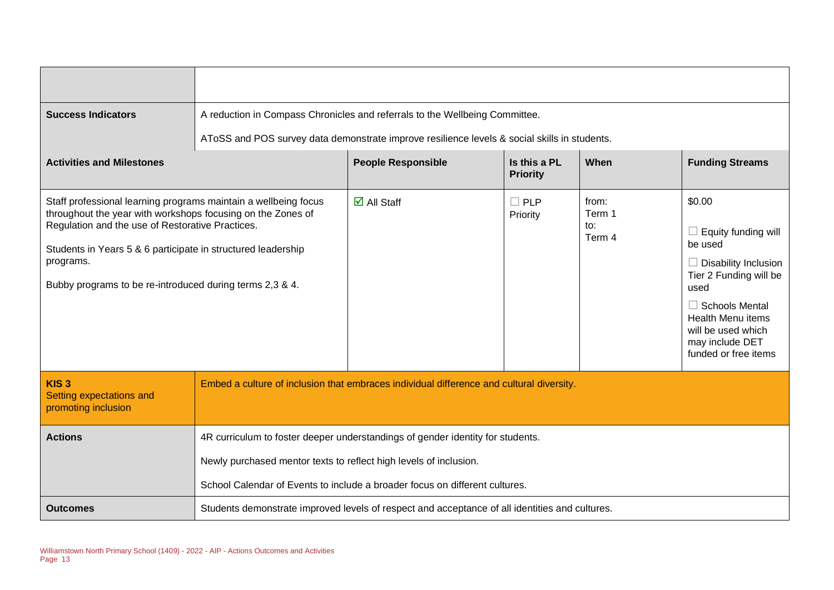| <b>Success Indicators</b>                                                                                                                                                                                                                                                                                                   | A reduction in Compass Chronicles and referrals to the Wellbeing Committee.<br>AToSS and POS survey data demonstrate improve resilience levels & social skills in students.                                                        |                                                                                                |                                 |                                  |                                                                                                                                                                                                                                        |
|-----------------------------------------------------------------------------------------------------------------------------------------------------------------------------------------------------------------------------------------------------------------------------------------------------------------------------|------------------------------------------------------------------------------------------------------------------------------------------------------------------------------------------------------------------------------------|------------------------------------------------------------------------------------------------|---------------------------------|----------------------------------|----------------------------------------------------------------------------------------------------------------------------------------------------------------------------------------------------------------------------------------|
| <b>Activities and Milestones</b>                                                                                                                                                                                                                                                                                            |                                                                                                                                                                                                                                    | <b>People Responsible</b>                                                                      | Is this a PL<br><b>Priority</b> | When                             | <b>Funding Streams</b>                                                                                                                                                                                                                 |
| Staff professional learning programs maintain a wellbeing focus<br>throughout the year with workshops focusing on the Zones of<br>Regulation and the use of Restorative Practices.<br>Students in Years 5 & 6 participate in structured leadership<br>programs.<br>Bubby programs to be re-introduced during terms 2,3 & 4. |                                                                                                                                                                                                                                    | $\overline{\mathbf{M}}$ All Staff                                                              | $\square$ PLP<br>Priority       | from:<br>Term 1<br>to:<br>Term 4 | \$0.00<br>$\Box$ Equity funding will<br>be used<br>$\Box$ Disability Inclusion<br>Tier 2 Funding will be<br>used<br>$\Box$ Schools Mental<br><b>Health Menu items</b><br>will be used which<br>may include DET<br>funded or free items |
| KIS <sub>3</sub><br>Setting expectations and<br>promoting inclusion                                                                                                                                                                                                                                                         |                                                                                                                                                                                                                                    | Embed a culture of inclusion that embraces individual difference and cultural diversity.       |                                 |                                  |                                                                                                                                                                                                                                        |
| <b>Actions</b>                                                                                                                                                                                                                                                                                                              | 4R curriculum to foster deeper understandings of gender identity for students.<br>Newly purchased mentor texts to reflect high levels of inclusion.<br>School Calendar of Events to include a broader focus on different cultures. |                                                                                                |                                 |                                  |                                                                                                                                                                                                                                        |
| <b>Outcomes</b>                                                                                                                                                                                                                                                                                                             |                                                                                                                                                                                                                                    | Students demonstrate improved levels of respect and acceptance of all identities and cultures. |                                 |                                  |                                                                                                                                                                                                                                        |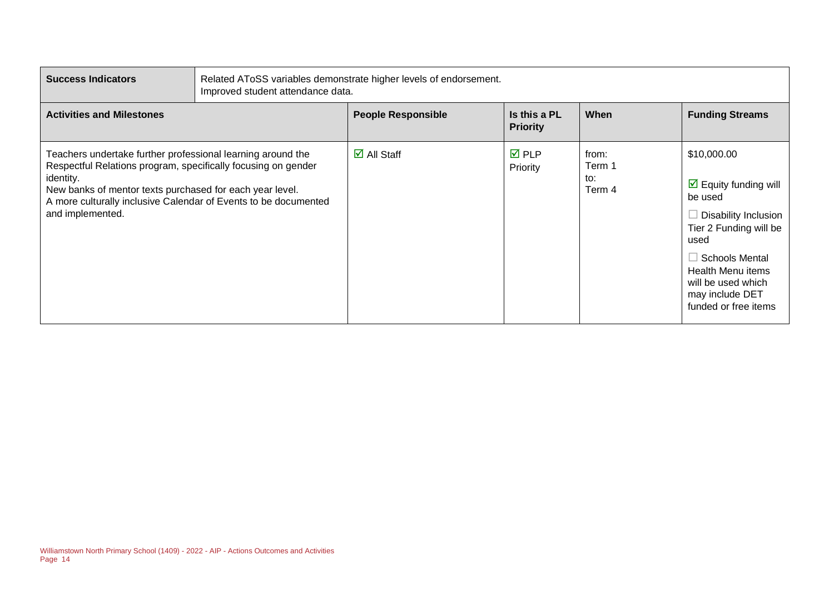| <b>Success Indicators</b>                                                                                                                                                                                                                                                                    | Related AToSS variables demonstrate higher levels of endorsement.<br>Improved student attendance data. |                                   |                                 |                                  |                                                                                                                                                                                                                                    |  |
|----------------------------------------------------------------------------------------------------------------------------------------------------------------------------------------------------------------------------------------------------------------------------------------------|--------------------------------------------------------------------------------------------------------|-----------------------------------|---------------------------------|----------------------------------|------------------------------------------------------------------------------------------------------------------------------------------------------------------------------------------------------------------------------------|--|
| <b>Activities and Milestones</b>                                                                                                                                                                                                                                                             |                                                                                                        | <b>People Responsible</b>         | Is this a PL<br><b>Priority</b> | When                             | <b>Funding Streams</b>                                                                                                                                                                                                             |  |
| Teachers undertake further professional learning around the<br>Respectful Relations program, specifically focusing on gender<br>identity.<br>New banks of mentor texts purchased for each year level.<br>A more culturally inclusive Calendar of Events to be documented<br>and implemented. |                                                                                                        | $\overline{\mathsf{M}}$ All Staff | $\overline{M}$ PLP<br>Priority  | from:<br>Term 1<br>to:<br>Term 4 | \$10,000.00<br>$\boxtimes$ Equity funding will<br>be used<br>Disability Inclusion<br>Tier 2 Funding will be<br>used<br><b>Schools Mental</b><br>Health Menu items<br>will be used which<br>may include DET<br>funded or free items |  |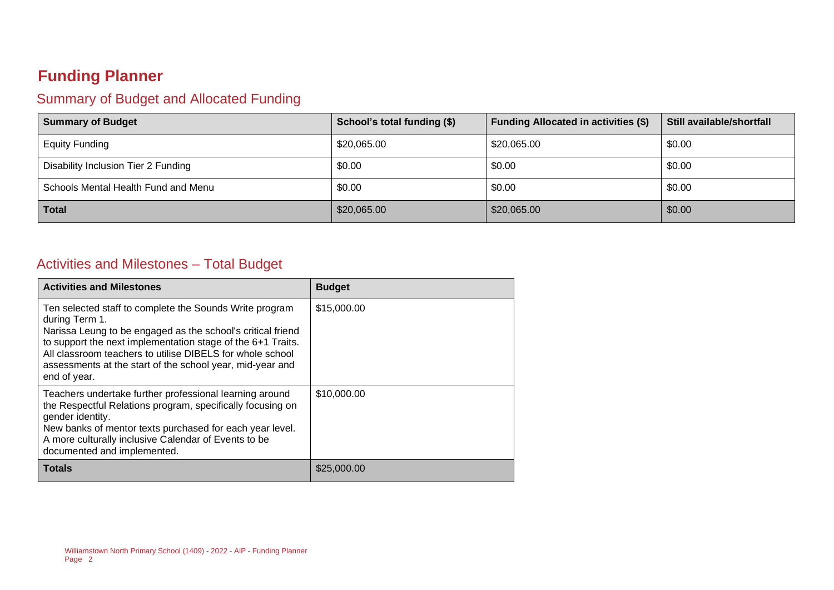## **Funding Planner**

### Summary of Budget and Allocated Funding

| <b>Summary of Budget</b>            | School's total funding (\$) | <b>Funding Allocated in activities (\$)</b> | Still available/shortfall |
|-------------------------------------|-----------------------------|---------------------------------------------|---------------------------|
| <b>Equity Funding</b>               | \$20,065.00                 | \$20,065.00                                 | \$0.00                    |
| Disability Inclusion Tier 2 Funding | \$0.00                      | \$0.00                                      | \$0.00                    |
| Schools Mental Health Fund and Menu | \$0.00                      | \$0.00                                      | \$0.00                    |
| <b>Total</b>                        | \$20,065.00                 | \$20,065.00                                 | \$0.00                    |

### Activities and Milestones – Total Budget

| <b>Activities and Milestones</b>                                                                                                                                                                                                                                                                                                                  | <b>Budget</b> |
|---------------------------------------------------------------------------------------------------------------------------------------------------------------------------------------------------------------------------------------------------------------------------------------------------------------------------------------------------|---------------|
| Ten selected staff to complete the Sounds Write program<br>during Term 1.<br>Narissa Leung to be engaged as the school's critical friend<br>to support the next implementation stage of the 6+1 Traits.<br>All classroom teachers to utilise DIBELS for whole school<br>assessments at the start of the school year, mid-year and<br>end of year. | \$15,000.00   |
| Teachers undertake further professional learning around<br>the Respectful Relations program, specifically focusing on<br>gender identity.<br>New banks of mentor texts purchased for each year level.<br>A more culturally inclusive Calendar of Events to be<br>documented and implemented.                                                      | \$10,000.00   |
| <b>Totals</b>                                                                                                                                                                                                                                                                                                                                     | \$25,000.00   |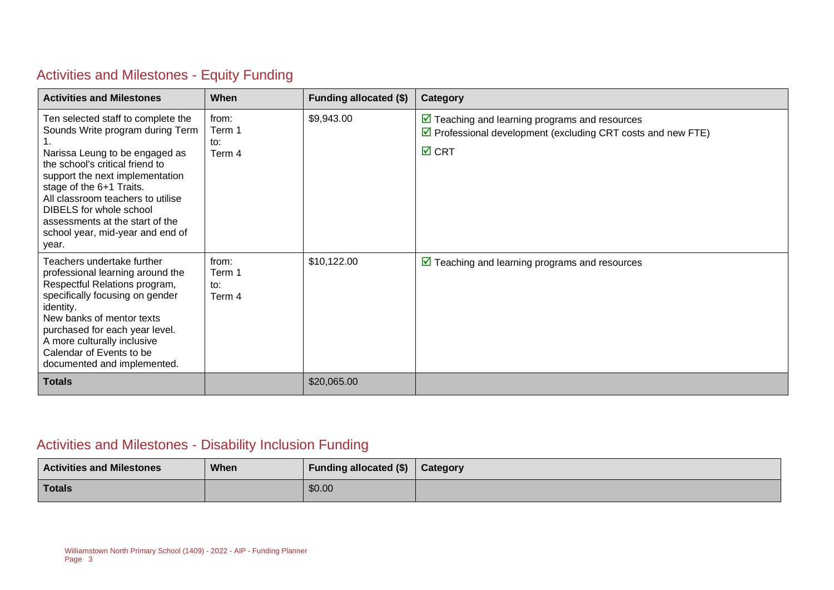### Activities and Milestones - Equity Funding

| <b>Activities and Milestones</b>                                                                                                                                                                                                                                                                                                                           | When                             | <b>Funding allocated (\$)</b> | Category                                                                                                                                                       |
|------------------------------------------------------------------------------------------------------------------------------------------------------------------------------------------------------------------------------------------------------------------------------------------------------------------------------------------------------------|----------------------------------|-------------------------------|----------------------------------------------------------------------------------------------------------------------------------------------------------------|
| Ten selected staff to complete the<br>Sounds Write program during Term<br>Narissa Leung to be engaged as<br>the school's critical friend to<br>support the next implementation<br>stage of the 6+1 Traits.<br>All classroom teachers to utilise<br>DIBELS for whole school<br>assessments at the start of the<br>school year, mid-year and end of<br>year. | from:<br>Term 1<br>to:<br>Term 4 | \$9,943.00                    | $\triangleright$ Teaching and learning programs and resources<br>$\triangledown$ Professional development (excluding CRT costs and new FTE)<br>$\boxtimes$ CRT |
| Teachers undertake further<br>professional learning around the<br>Respectful Relations program,<br>specifically focusing on gender<br>identity.<br>New banks of mentor texts<br>purchased for each year level.<br>A more culturally inclusive<br>Calendar of Events to be<br>documented and implemented.                                                   | from:<br>Term 1<br>to:<br>Term 4 | \$10,122.00                   | $\triangleright$ Teaching and learning programs and resources                                                                                                  |
| <b>Totals</b>                                                                                                                                                                                                                                                                                                                                              |                                  | \$20,065.00                   |                                                                                                                                                                |

### Activities and Milestones - Disability Inclusion Funding

| <b>Activities and Milestones</b> | When | Funding allocated (\$) | Category |
|----------------------------------|------|------------------------|----------|
| <b>Totals</b>                    |      | \$0.00                 |          |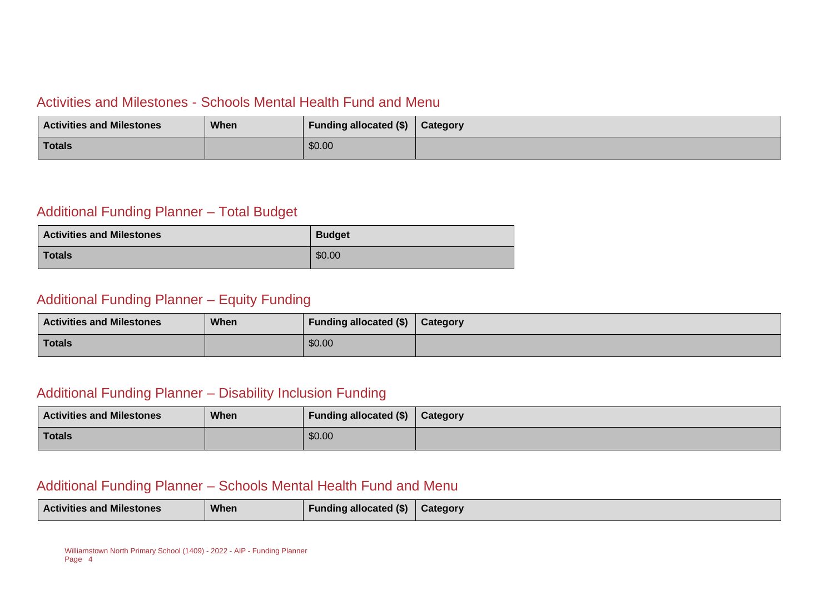#### Activities and Milestones - Schools Mental Health Fund and Menu

| <b>Activities and Milestones</b> | When | Funding allocated (\$) Category |  |
|----------------------------------|------|---------------------------------|--|
| Totals                           |      | \$0.00                          |  |

#### Additional Funding Planner – Total Budget

| <b>Activities and Milestones</b> | <b>Budget</b> |
|----------------------------------|---------------|
| <b>Totals</b>                    | \$0.00        |

#### Additional Funding Planner – Equity Funding

| <b>Activities and Milestones</b> | When | <b>Funding allocated (\$)</b> | Category |
|----------------------------------|------|-------------------------------|----------|
| Totals                           |      | \$0.00                        |          |

#### Additional Funding Planner – Disability Inclusion Funding

| <b>Activities and Milestones</b> | When | Funding allocated (\$) Category |  |
|----------------------------------|------|---------------------------------|--|
| <b>Totals</b>                    |      | \$0.00                          |  |

#### Additional Funding Planner – Schools Mental Health Fund and Menu

| <b>Activities and Milestones</b> | When | Funding allocated (\$) | Category |
|----------------------------------|------|------------------------|----------|
|----------------------------------|------|------------------------|----------|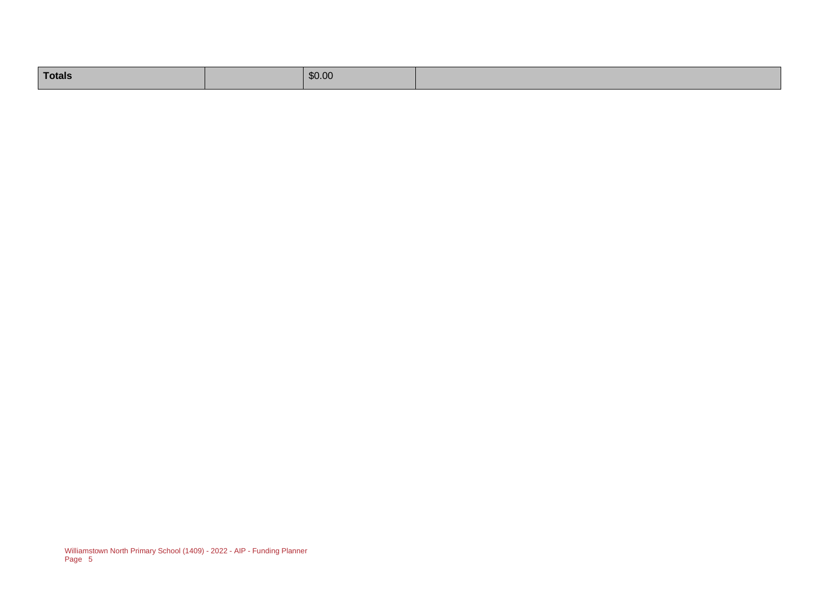| \$0.00<br>Totals |  |
|------------------|--|
|------------------|--|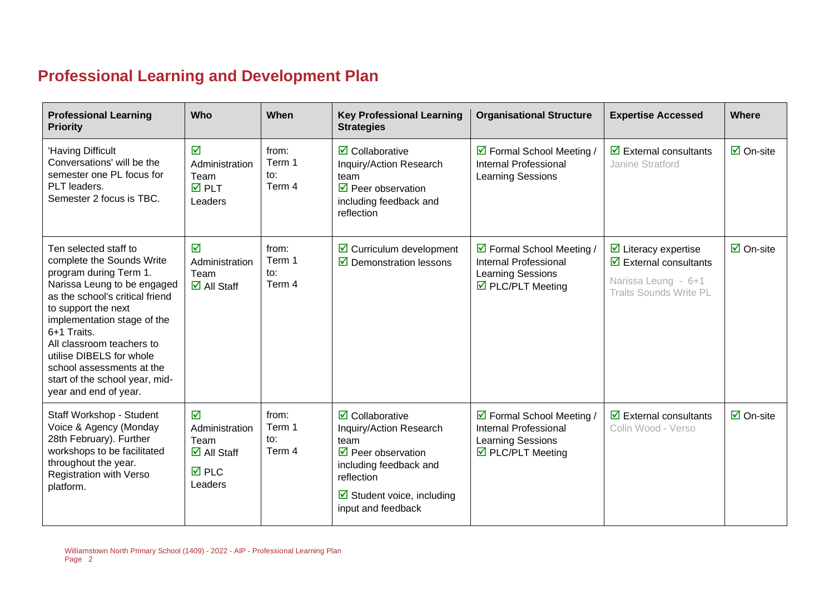## **Professional Learning and Development Plan**

| <b>Professional Learning</b><br><b>Priority</b>                                                                                                                                                                                                                                                                                                                      | Who                                                                                                             | When                             | <b>Key Professional Learning</b><br><b>Strategies</b>                                                                                                                                                               | <b>Organisational Structure</b>                                                                                   | <b>Expertise Accessed</b>                                                                                                                   | Where                           |
|----------------------------------------------------------------------------------------------------------------------------------------------------------------------------------------------------------------------------------------------------------------------------------------------------------------------------------------------------------------------|-----------------------------------------------------------------------------------------------------------------|----------------------------------|---------------------------------------------------------------------------------------------------------------------------------------------------------------------------------------------------------------------|-------------------------------------------------------------------------------------------------------------------|---------------------------------------------------------------------------------------------------------------------------------------------|---------------------------------|
| 'Having Difficult<br>Conversations' will be the<br>semester one PL focus for<br>PLT leaders.<br>Semester 2 focus is TBC.                                                                                                                                                                                                                                             | ☑<br>Administration<br>Team<br><b>ØPLT</b><br>Leaders                                                           | from:<br>Term 1<br>to:<br>Term 4 | $\overline{\mathbf{z}}$ Collaborative<br>Inquiry/Action Research<br>team<br>$\triangledown$ Peer observation<br>including feedback and<br>reflection                                                                | ☑ Formal School Meeting /<br>Internal Professional<br>Learning Sessions                                           | $\overline{\mathbf{y}}$ External consultants<br>Janine Stratford                                                                            | $\overline{\mathsf{M}}$ On-site |
| Ten selected staff to<br>complete the Sounds Write<br>program during Term 1.<br>Narissa Leung to be engaged<br>as the school's critical friend<br>to support the next<br>implementation stage of the<br>6+1 Traits.<br>All classroom teachers to<br>utilise DIBELS for whole<br>school assessments at the<br>start of the school year, mid-<br>year and end of year. | ☑<br>Administration<br>Team<br>$\overline{\Box}$ All Staff                                                      | from:<br>Term 1<br>to:<br>Term 4 | $\boxdot$ Curriculum development<br>$\overline{\mathbf{y}}$ Demonstration lessons                                                                                                                                   | ☑ Formal School Meeting /<br>Internal Professional<br>Learning Sessions<br>$\triangledown$ PLC/PLT Meeting        | $\triangleright$ Literacy expertise<br>$\overline{\mathbf{y}}$ External consultants<br>Narissa Leung - 6+1<br><b>Traits Sounds Write PL</b> | $\overline{\mathsf{M}}$ On-site |
| Staff Workshop - Student<br>Voice & Agency (Monday<br>28th February). Further<br>workshops to be facilitated<br>throughout the year.<br>Registration with Verso<br>platform.                                                                                                                                                                                         | $\triangledown$<br>Administration<br>Team<br>$\overline{\mathsf{d}}$ All Staff<br>$\overline{M}$ PLC<br>Leaders | from:<br>Term 1<br>to:<br>Term 4 | $\overline{\mathbf{Z}}$ Collaborative<br>Inquiry/Action Research<br>team<br>$\triangleright$ Peer observation<br>including feedback and<br>reflection<br>$\boxtimes$ Student voice, including<br>input and feedback | ☑ Formal School Meeting /<br><b>Internal Professional</b><br>Learning Sessions<br>$\triangledown$ PLC/PLT Meeting | $\overline{\mathbf{z}}$ External consultants<br>Colin Wood - Verso                                                                          | $\overline{\boxtimes}$ On-site  |